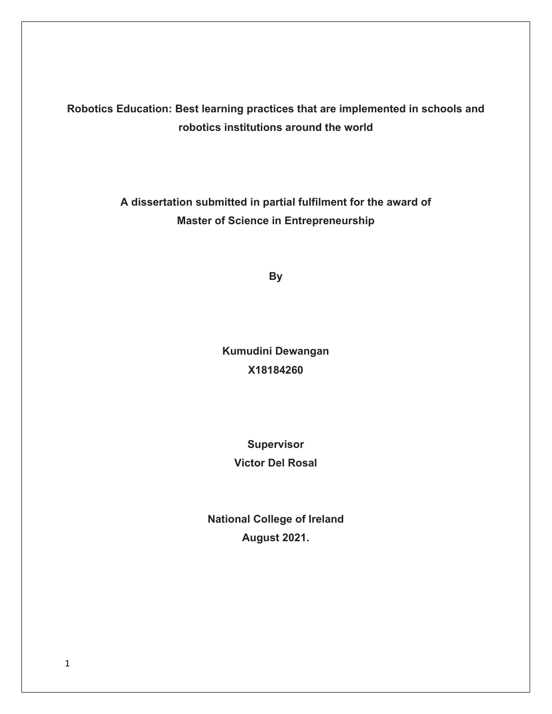**Robotics Education: Best learning practices that are implemented in schools and robotics institutions around the world**

> **A dissertation submitted in partial fulfilment for the award of Master of Science in Entrepreneurship**

> > **By**

**Kumudini Dewangan X18184260**

> **Supervisor Victor Del Rosal**

**National College of Ireland August 2021.**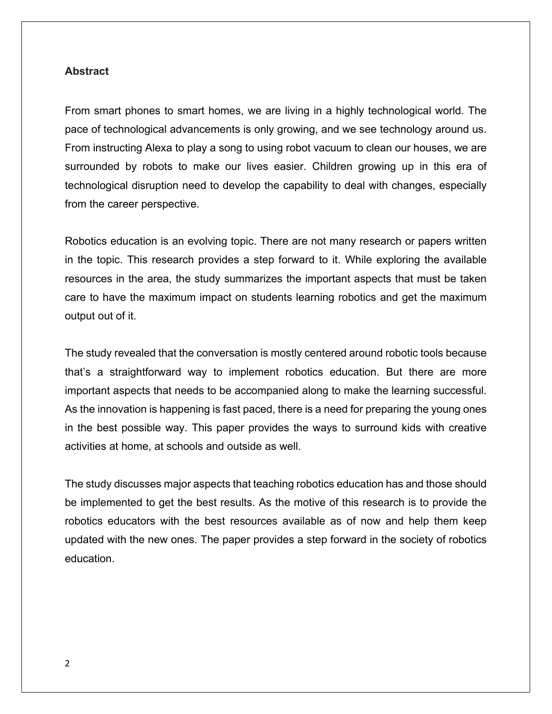#### **Abstract**

From smart phones to smart homes, we are living in a highly technological world. The pace of technological advancements is only growing, and we see technology around us. From instructing Alexa to play a song to using robot vacuum to clean our houses, we are surrounded by robots to make our lives easier. Children growing up in this era of technological disruption need to develop the capability to deal with changes, especially from the career perspective.

Robotics education is an evolving topic. There are not many research or papers written in the topic. This research provides a step forward to it. While exploring the available resources in the area, the study summarizes the important aspects that must be taken care to have the maximum impact on students learning robotics and get the maximum output out of it.

The study revealed that the conversation is mostly centered around robotic tools because that's a straightforward way to implement robotics education. But there are more important aspects that needs to be accompanied along to make the learning successful. As the innovation is happening is fast paced, there is a need for preparing the young ones in the best possible way. This paper provides the ways to surround kids with creative activities at home, at schools and outside as well.

The study discusses major aspects that teaching robotics education has and those should be implemented to get the best results. As the motive of this research is to provide the robotics educators with the best resources available as of now and help them keep updated with the new ones. The paper provides a step forward in the society of robotics education.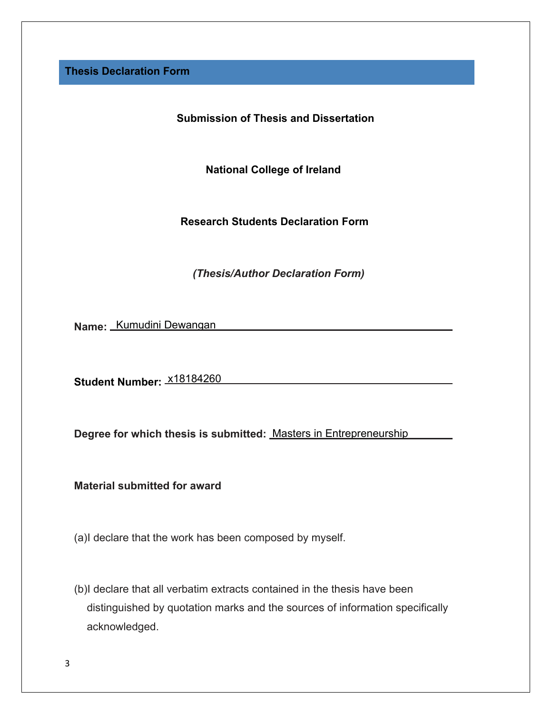**Thesis Declaration Form**

**Submission of Thesis and Dissertation**

**National College of Ireland**

**Research Students Declaration Form**

*(Thesis/Author Declaration Form)*

**Name:** Kumudini Dewangan

**Student Number:** x18184260

**Degree for which thesis is submitted:** Masters in Entrepreneurship

**Material submitted for award**

(a)I declare that the work has been composed by myself.

(b)I declare that all verbatim extracts contained in the thesis have been distinguished by quotation marks and the sources of information specifically acknowledged.

4344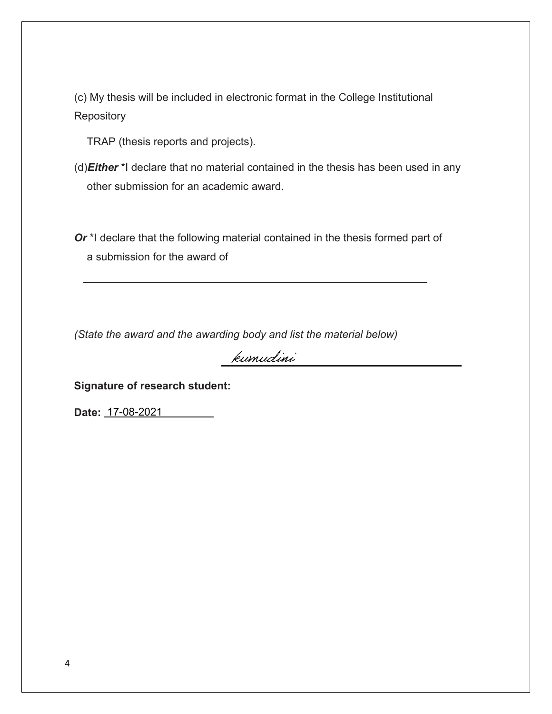(c) My thesis will be included in electronic format in the College Institutional **Repository** 

TRAP (thesis reports and projects).

- (d)*Either* \*I declare that no material contained in the thesis has been used in any other submission for an academic award.
- *Or* \*I declare that the following material contained in the thesis formed part of a submission for the award of

*(State the award and the awarding body and list the material below)*

kumudini

**Signature of research student:**

**Date:** 17-08-2021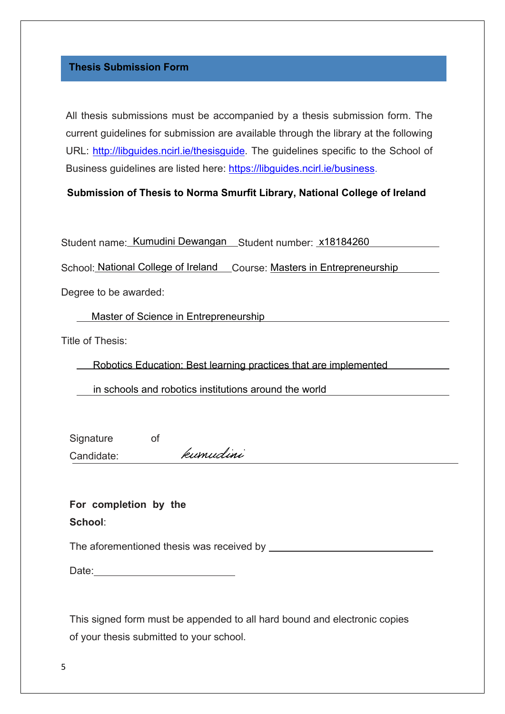#### **Thesis Submission Form**

All thesis submissions must be accompanied by a thesis submission form. The current guidelines for submission are available through the library at the following URL: [http://libguides.ncirl.ie/thesisguide.](http://libguides.ncirl.ie/thesisguide) The guidelines specific to the School of [Business guidelines are listed here: https://libguides.ncirl.ie/business.](http://libguides.ncirl.ie/thesisguide)

#### **Submission of Thesis to Norma Smurfit Library, National College of Ireland**

Student name: Kumudini Dewangan Student number: x18184260

School: National College of Ireland Course: Masters in Entrepreneurship

Degree to be awarded:

Master of Science in Entrepreneurship

Title of Thesis:

Robotics Education: Best learning practices that are implemented

in schools and robotics institutions around the world

Signature of kumudini Candidate:

**For completion by the School**:

The aforementioned thesis was received by

Date: when the contract of the contract of the contract of the contract of the contract of the contract of the contract of the contract of the contract of the contract of the contract of the contract of the contract of the

This signed form must be appended to all hard bound and electronic copies of your thesis submitted to your school.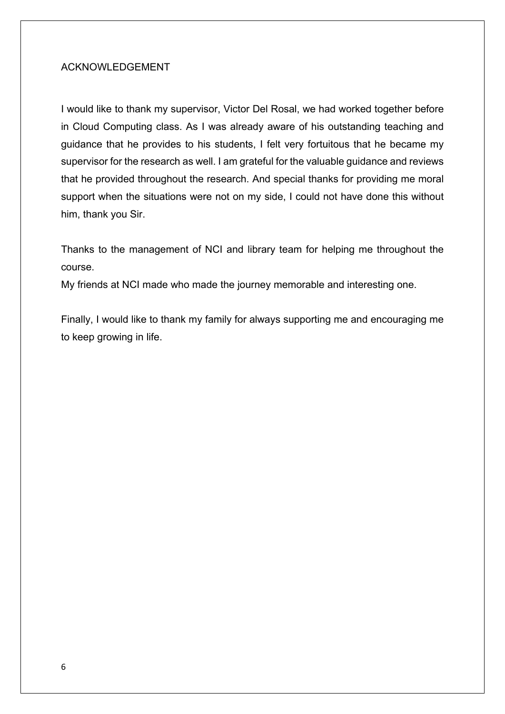## ACKNOWLEDGEMENT

I would like to thank my supervisor, Victor Del Rosal, we had worked together before in Cloud Computing class. As I was already aware of his outstanding teaching and guidance that he provides to his students, I felt very fortuitous that he became my supervisor for the research as well. I am grateful for the valuable guidance and reviews that he provided throughout the research. And special thanks for providing me moral support when the situations were not on my side, I could not have done this without him, thank you Sir.

Thanks to the management of NCI and library team for helping me throughout the course.

My friends at NCI made who made the journey memorable and interesting one.

Finally, I would like to thank my family for always supporting me and encouraging me to keep growing in life.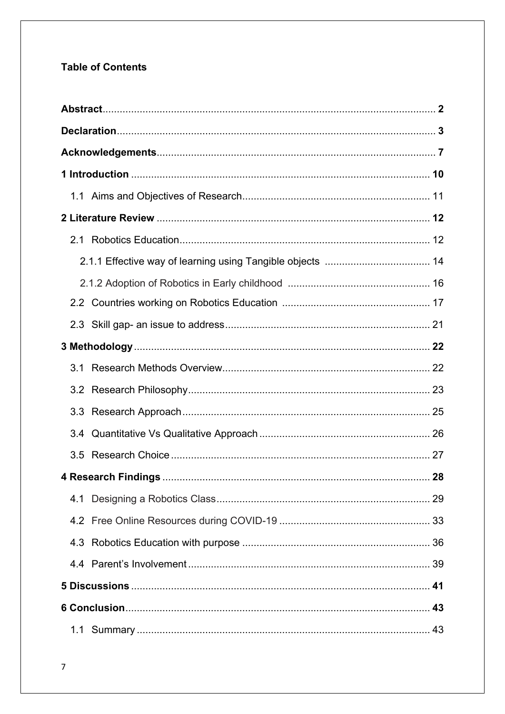# **Table of Contents**

| 3.4 |  |
|-----|--|
|     |  |
|     |  |
|     |  |
|     |  |
|     |  |
|     |  |
|     |  |
|     |  |
|     |  |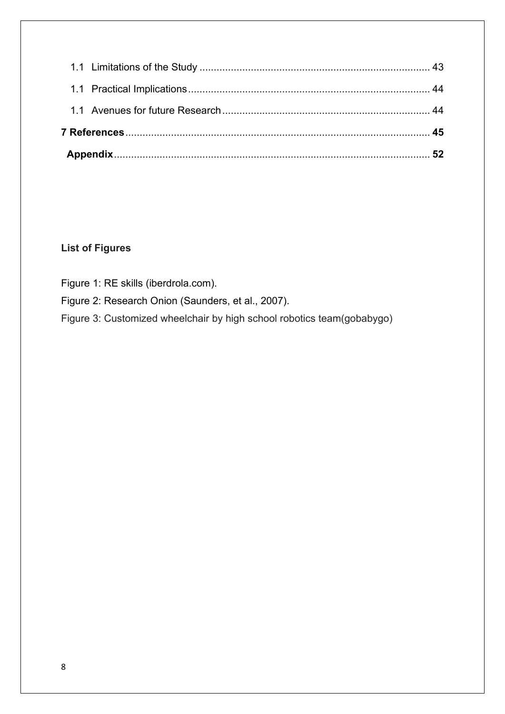# **List of Figures**

- Figure 1: RE skills (iberdrola.com).
- Figure 2: Research Onion (Saunders, et al., 2007).
- Figure 3: Customized wheelchair by high school robotics team(gobabygo)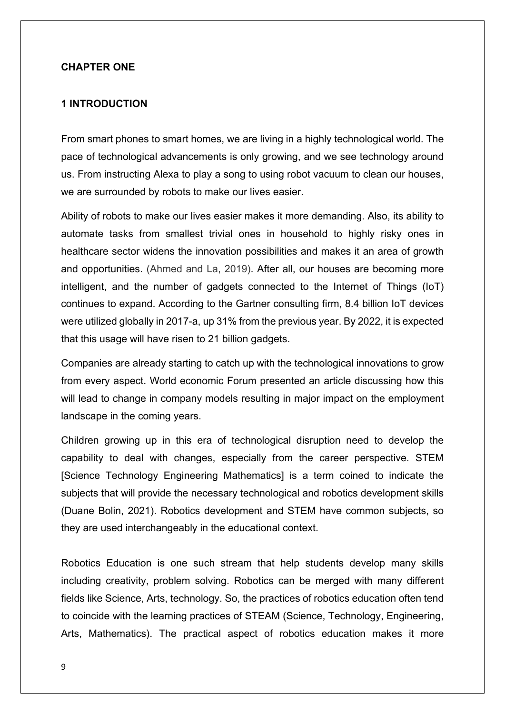#### **CHAPTER ONE**

#### **1 INTRODUCTION**

From smart phones to smart homes, we are living in a highly technological world. The pace of technological advancements is only growing, and we see technology around us. From instructing Alexa to play a song to using robot vacuum to clean our houses, we are surrounded by robots to make our lives easier.

Ability of robots to make our lives easier makes it more demanding. Also, its ability to automate tasks from smallest trivial ones in household to highly risky ones in healthcare sector widens the innovation possibilities and makes it an area of growth and opportunities. (Ahmed and La, 2019). After all, our houses are becoming more intelligent, and the number of gadgets connected to the Internet of Things (IoT) continues to expand. According to the Gartner consulting firm, 8.4 billion IoT devices were utilized globally in 2017-a, up 31% from the previous year. By 2022, it is expected that this usage will have risen to 21 billion gadgets.

Companies are already starting to catch up with the technological innovations to grow from every aspect. World economic Forum presented an article discussing how this will lead to change in company models resulting in major impact on the employment landscape in the coming years.

Children growing up in this era of technological disruption need to develop the capability to deal with changes, especially from the career perspective. STEM [Science Technology Engineering Mathematics] is a term coined to indicate the subjects that will provide the necessary technological and robotics development skills (Duane Bolin, 2021). Robotics development and STEM have common subjects, so they are used interchangeably in the educational context.

Robotics Education is one such stream that help students develop many skills including creativity, problem solving. Robotics can be merged with many different fields like Science, Arts, technology. So, the practices of robotics education often tend to coincide with the learning practices of STEAM (Science, Technology, Engineering, Arts, Mathematics). The practical aspect of robotics education makes it more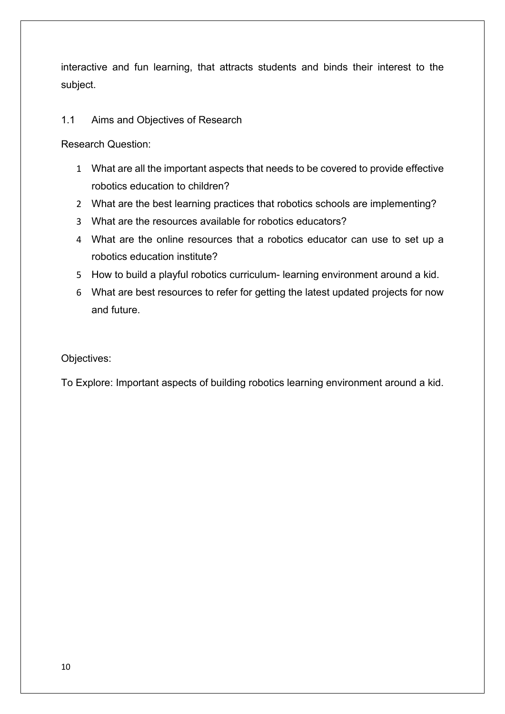interactive and fun learning, that attracts students and binds their interest to the subject.

## 1.1 Aims and Objectives of Research

Research Question:

- 1 What are all the important aspects that needs to be covered to provide effective robotics education to children?
- 2 What are the best learning practices that robotics schools are implementing?
- 3 What are the resources available for robotics educators?
- 4 What are the online resources that a robotics educator can use to set up a robotics education institute?
- 5 How to build a playful robotics curriculum- learning environment around a kid.
- 6 What are best resources to refer for getting the latest updated projects for now and future.

Objectives:

To Explore: Important aspects of building robotics learning environment around a kid.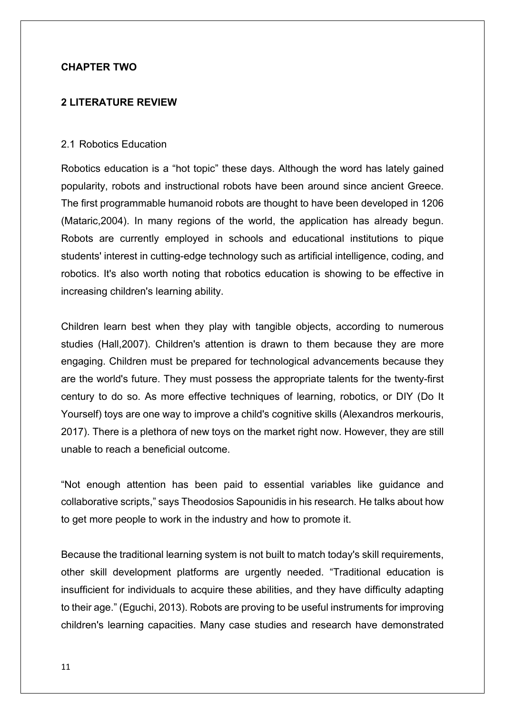## **CHAPTER TWO**

## **2 LITERATURE REVIEW**

#### 2.1 Robotics Education

Robotics education is a "hot topic" these days. Although the word has lately gained popularity, robots and instructional robots have been around since ancient Greece. The first programmable humanoid robots are thought to have been developed in 1206 (Mataric,2004). In many regions of the world, the application has already begun. Robots are currently employed in schools and educational institutions to pique students' interest in cutting-edge technology such as artificial intelligence, coding, and robotics. It's also worth noting that robotics education is showing to be effective in increasing children's learning ability.

Children learn best when they play with tangible objects, according to numerous studies (Hall,2007). Children's attention is drawn to them because they are more engaging. Children must be prepared for technological advancements because they are the world's future. They must possess the appropriate talents for the twenty-first century to do so. As more effective techniques of learning, robotics, or DIY (Do It Yourself) toys are one way to improve a child's cognitive skills (Alexandros merkouris, 2017). There is a plethora of new toys on the market right now. However, they are still unable to reach a beneficial outcome.

"Not enough attention has been paid to essential variables like guidance and collaborative scripts," says Theodosios Sapounidis in his research. He talks about how to get more people to work in the industry and how to promote it.

Because the traditional learning system is not built to match today's skill requirements, other skill development platforms are urgently needed. "Traditional education is insufficient for individuals to acquire these abilities, and they have difficulty adapting to their age." (Eguchi, 2013). Robots are proving to be useful instruments for improving children's learning capacities. Many case studies and research have demonstrated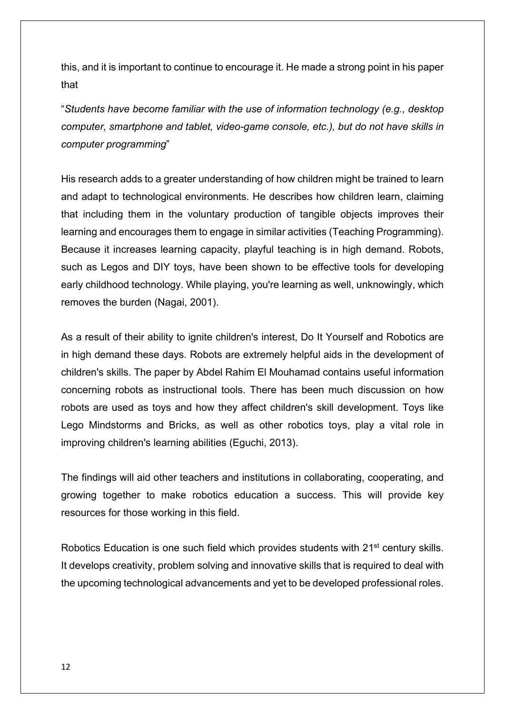this, and it is important to continue to encourage it. He made a strong point in his paper that

"*Students have become familiar with the use of information technology (e.g., desktop computer, smartphone and tablet, video-game console, etc.), but do not have skills in computer programming*"

His research adds to a greater understanding of how children might be trained to learn and adapt to technological environments. He describes how children learn, claiming that including them in the voluntary production of tangible objects improves their learning and encourages them to engage in similar activities (Teaching Programming). Because it increases learning capacity, playful teaching is in high demand. Robots, such as Legos and DIY toys, have been shown to be effective tools for developing early childhood technology. While playing, you're learning as well, unknowingly, which removes the burden (Nagai, 2001).

As a result of their ability to ignite children's interest, Do It Yourself and Robotics are in high demand these days. Robots are extremely helpful aids in the development of children's skills. The paper by Abdel Rahim El Mouhamad contains useful information concerning robots as instructional tools. There has been much discussion on how robots are used as toys and how they affect children's skill development. Toys like Lego Mindstorms and Bricks, as well as other robotics toys, play a vital role in improving children's learning abilities (Eguchi, 2013).

The findings will aid other teachers and institutions in collaborating, cooperating, and growing together to make robotics education a success. This will provide key resources for those working in this field.

Robotics Education is one such field which provides students with 21<sup>st</sup> century skills. It develops creativity, problem solving and innovative skills that is required to deal with the upcoming technological advancements and yet to be developed professional roles.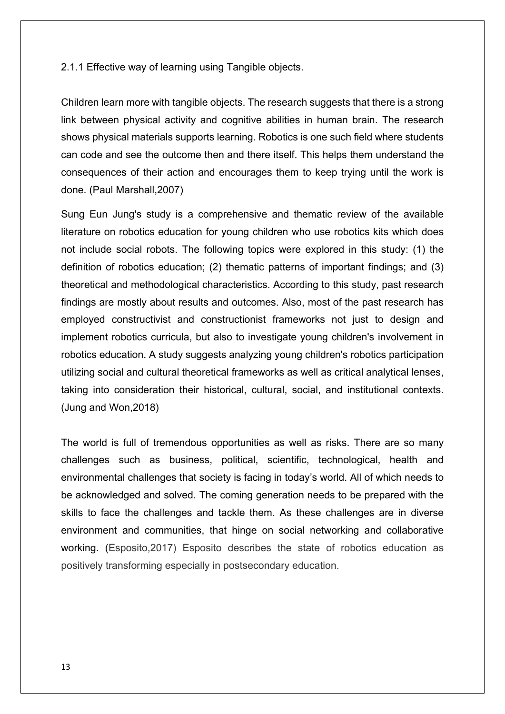2.1.1 Effective way of learning using Tangible objects.

Children learn more with tangible objects. The research suggests that there is a strong link between physical activity and cognitive abilities in human brain. The research shows physical materials supports learning. Robotics is one such field where students can code and see the outcome then and there itself. This helps them understand the consequences of their action and encourages them to keep trying until the work is done. (Paul Marshall,2007)

Sung Eun Jung's study is a comprehensive and thematic review of the available literature on robotics education for young children who use robotics kits which does not include social robots. The following topics were explored in this study: (1) the definition of robotics education; (2) thematic patterns of important findings; and (3) theoretical and methodological characteristics. According to this study, past research findings are mostly about results and outcomes. Also, most of the past research has employed constructivist and constructionist frameworks not just to design and implement robotics curricula, but also to investigate young children's involvement in robotics education. A study suggests analyzing young children's robotics participation utilizing social and cultural theoretical frameworks as well as critical analytical lenses, taking into consideration their historical, cultural, social, and institutional contexts. [\(Jung](https://sciprofiles.com/profile/383038) and [Won,](https://sciprofiles.com/profile/383980)2018)

The world is full of tremendous opportunities as well as risks. There are so many challenges such as business, political, scientific, technological, health and environmental challenges that society is facing in today's world. All of which needs to be acknowledged and solved. The coming generation needs to be prepared with the skills to face the challenges and tackle them. As these challenges are in diverse environment and communities, that hinge on social networking and collaborative working. (Esposito,2017) Esposito describes the state of robotics education as positively transforming especially in postsecondary education.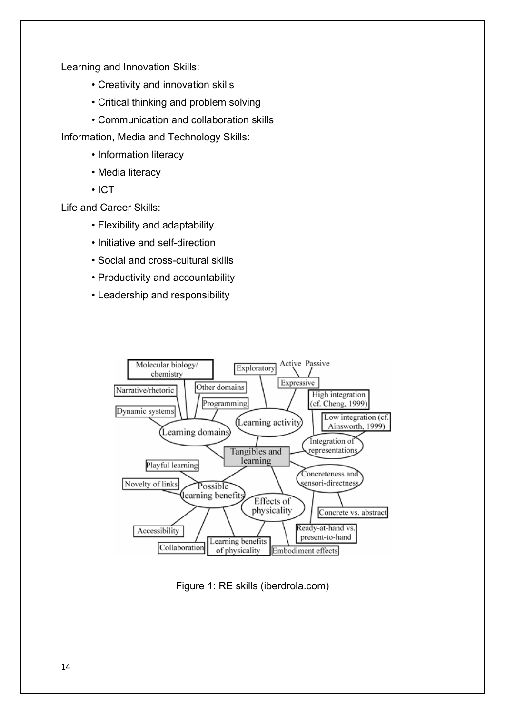Learning and Innovation Skills:

- Creativity and innovation skills
- Critical thinking and problem solving
- Communication and collaboration skills

Information, Media and Technology Skills:

- Information literacy
- Media literacy
- ICT

Life and Career Skills:

- Flexibility and adaptability
- Initiative and self-direction
- Social and cross-cultural skills
- Productivity and accountability
- Leadership and responsibility



Figure 1: RE skills (iberdrola.com)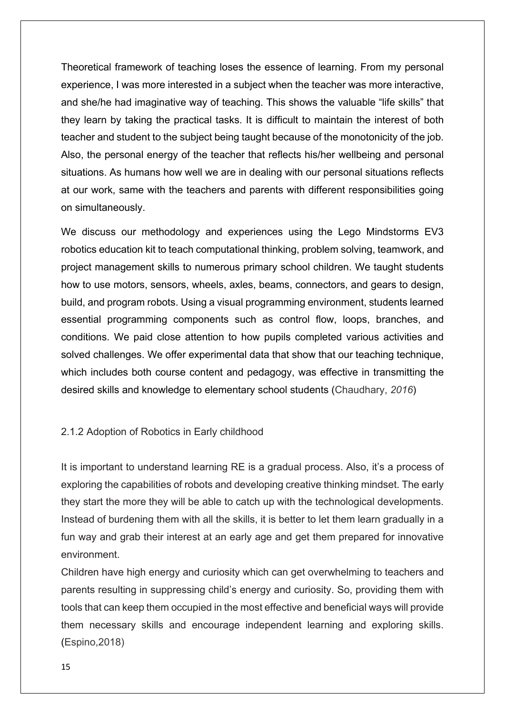Theoretical framework of teaching loses the essence of learning. From my personal experience, I was more interested in a subject when the teacher was more interactive, and she/he had imaginative way of teaching. This shows the valuable "life skills" that they learn by taking the practical tasks. It is difficult to maintain the interest of both teacher and student to the subject being taught because of the monotonicity of the job. Also, the personal energy of the teacher that reflects his/her wellbeing and personal situations. As humans how well we are in dealing with our personal situations reflects at our work, same with the teachers and parents with different responsibilities going on simultaneously.

We discuss our methodology and experiences using the Lego Mindstorms EV3 robotics education kit to teach computational thinking, problem solving, teamwork, and project management skills to numerous primary school children. We taught students how to use motors, sensors, wheels, axles, beams, connectors, and gears to design, build, and program robots. Using a visual programming environment, students learned essential programming components such as control flow, loops, branches, and conditions. We paid close attention to how pupils completed various activities and solved challenges. We offer experimental data that show that our teaching technique, which includes both course content and pedagogy, was effective in transmitting the desired skills and knowledge to elementary school students (Chaudhary, *2016*)

#### 2.1.2 Adoption of Robotics in Early childhood

It is important to understand learning RE is a gradual process. Also, it's a process of exploring the capabilities of robots and developing creative thinking mindset. The early they start the more they will be able to catch up with the technological developments. Instead of burdening them with all the skills, it is better to let them learn gradually in a fun way and grab their interest at an early age and get them prepared for innovative environment.

Children have high energy and curiosity which can get overwhelming to teachers and parents resulting in suppressing child's energy and curiosity. So, providing them with tools that can keep them occupied in the most effective and beneficial ways will provide them necessary skills and encourage independent learning and exploring skills. (Espino,2018)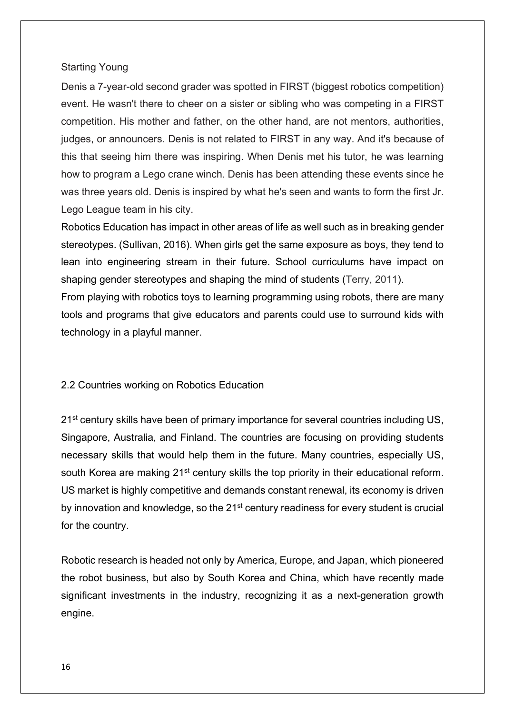#### Starting Young

Denis a 7-year-old second grader was spotted in FIRST (biggest robotics competition) event. He wasn't there to cheer on a sister or sibling who was competing in a FIRST competition. His mother and father, on the other hand, are not mentors, authorities, judges, or announcers. Denis is not related to FIRST in any way. And it's because of this that seeing him there was inspiring. When Denis met his tutor, he was learning how to program a Lego crane winch. Denis has been attending these events since he was three years old. Denis is inspired by what he's seen and wants to form the first Jr. Lego League team in his city.

Robotics Education has impact in other areas of life as well such as in breaking gender stereotypes. (Sullivan, 2016). When girls get the same exposure as boys, they tend to lean into engineering stream in their future. School curriculums have impact on shaping gender stereotypes and shaping the mind of students (Terry, 2011).

From playing with robotics toys to learning programming using robots, there are many tools and programs that give educators and parents could use to surround kids with technology in a playful manner.

## 2.2 Countries working on Robotics Education

21<sup>st</sup> century skills have been of primary importance for several countries including US, Singapore, Australia, and Finland. The countries are focusing on providing students necessary skills that would help them in the future. Many countries, especially US, south Korea are making 21<sup>st</sup> century skills the top priority in their educational reform. US market is highly competitive and demands constant renewal, its economy is driven by innovation and knowledge, so the 21<sup>st</sup> century readiness for every student is crucial for the country.

Robotic research is headed not only by America, Europe, and Japan, which pioneered the robot business, but also by South Korea and China, which have recently made significant investments in the industry, recognizing it as a next-generation growth engine.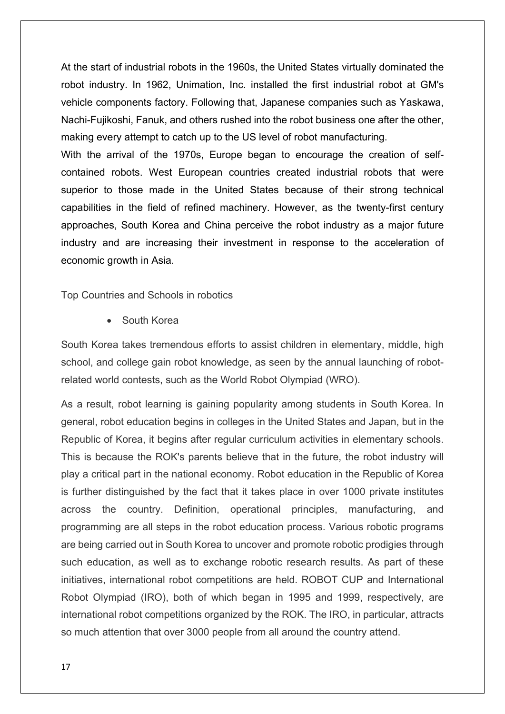At the start of industrial robots in the 1960s, the United States virtually dominated the robot industry. In 1962, Unimation, Inc. installed the first industrial robot at GM's vehicle components factory. Following that, Japanese companies such as Yaskawa, Nachi-Fujikoshi, Fanuk, and others rushed into the robot business one after the other, making every attempt to catch up to the US level of robot manufacturing. With the arrival of the 1970s, Europe began to encourage the creation of self-

contained robots. West European countries created industrial robots that were superior to those made in the United States because of their strong technical capabilities in the field of refined machinery. However, as the twenty-first century approaches, South Korea and China perceive the robot industry as a major future industry and are increasing their investment in response to the acceleration of economic growth in Asia.

Top Countries and Schools in robotics

• South Korea

South Korea takes tremendous efforts to assist children in elementary, middle, high school, and college gain robot knowledge, as seen by the annual launching of robotrelated world contests, such as the World Robot Olympiad (WRO).

As a result, robot learning is gaining popularity among students in South Korea. In general, robot education begins in colleges in the United States and Japan, but in the Republic of Korea, it begins after regular curriculum activities in elementary schools. This is because the ROK's parents believe that in the future, the robot industry will play a critical part in the national economy. Robot education in the Republic of Korea is further distinguished by the fact that it takes place in over 1000 private institutes across the country. Definition, operational principles, manufacturing, and programming are all steps in the robot education process. Various robotic programs are being carried out in South Korea to uncover and promote robotic prodigies through such education, as well as to exchange robotic research results. As part of these initiatives, international robot competitions are held. ROBOT CUP and International Robot Olympiad (IRO), both of which began in 1995 and 1999, respectively, are international robot competitions organized by the ROK. The IRO, in particular, attracts so much attention that over 3000 people from all around the country attend.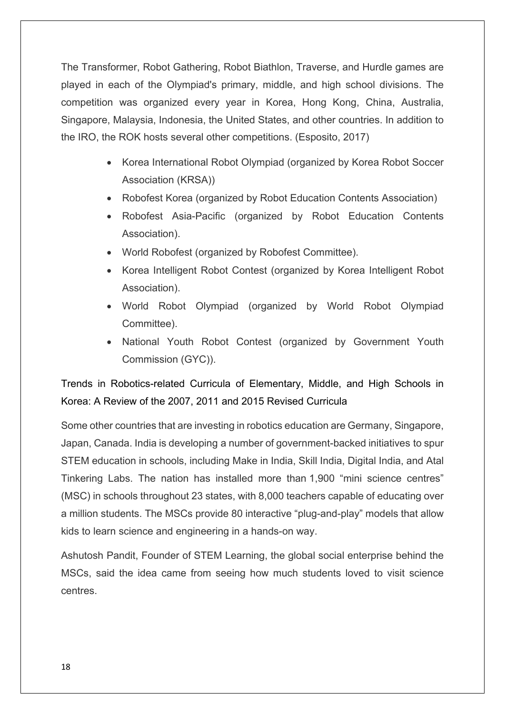The Transformer, Robot Gathering, Robot Biathlon, Traverse, and Hurdle games are played in each of the Olympiad's primary, middle, and high school divisions. The competition was organized every year in Korea, Hong Kong, China, Australia, Singapore, Malaysia, Indonesia, the United States, and other countries. In addition to the IRO, the ROK hosts several other competitions. (Esposito, 2017)

- Korea International Robot Olympiad (organized by Korea Robot Soccer Association (KRSA))
- Robofest Korea (organized by Robot Education Contents Association)
- Robofest Asia-Pacific (organized by Robot Education Contents Association).
- World Robofest (organized by Robofest Committee).
- Korea Intelligent Robot Contest (organized by Korea Intelligent Robot Association).
- World Robot Olympiad (organized by World Robot Olympiad Committee).
- National Youth Robot Contest (organized by Government Youth Commission (GYC)).

Trends in Robotics-related Curricula of Elementary, Middle, and High Schools in Korea: A Review of the 2007, 2011 and 2015 Revised Curricula

Some other countries that are investing in robotics education are Germany, Singapore, Japan, Canada. India is developing [a number of government-backed initiatives](https://indiacsr.in/stem-learning-broadening-the-stem-horizons-for-k12-education-through-mini-science-centres-under-csr/) to spur STEM education in schools, including [Make in India,](https://www.makeinindia.com/home) [Skill India,](https://skillindia.nsdcindia.org/) [Digital India,](https://www.digitalindia.gov.in/) and [Atal](https://indiastemfoundation.org/atal-tinkering-lab/)  [Tinkering Labs.](https://indiastemfoundation.org/atal-tinkering-lab/) The nation has installed more than [1,900 "mini science centres"](https://indiacsr.in/stem-learning-broadening-the-stem-horizons-for-k12-education-through-mini-science-centres-under-csr/) (MSC) in schools throughout 23 states, with 8,000 teachers capable of educating over a million students. The MSCs provide 80 interactive "plug-and-play" models that allow kids to learn science and engineering in a hands-on way.

Ashutosh Pandit, Founder of [STEM Learning,](https://stemlearning.in/) the global social enterprise behind the MSCs, said the idea came from seeing how much students loved to visit science centres.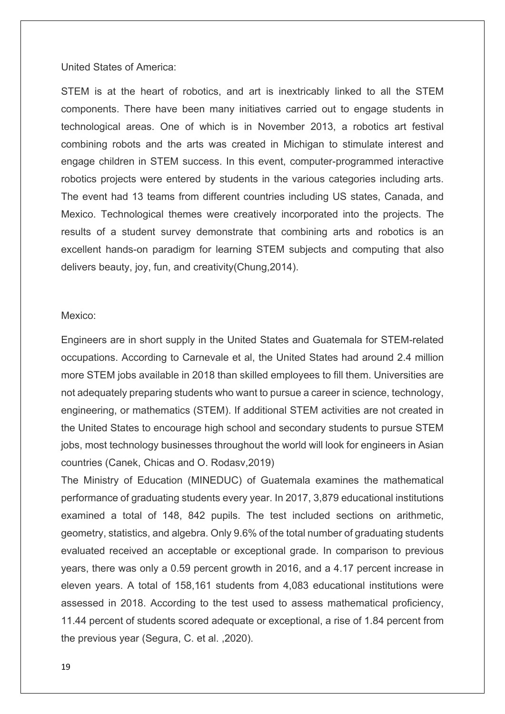#### United States of America:

STEM is at the heart of robotics, and art is inextricably linked to all the STEM components. There have been many initiatives carried out to engage students in technological areas. One of which is in November 2013, a robotics art festival combining robots and the arts was created in Michigan to stimulate interest and engage children in STEM success. In this event, computer-programmed interactive robotics projects were entered by students in the various categories including arts. The event had 13 teams from different countries including US states, Canada, and Mexico. Technological themes were creatively incorporated into the projects. The results of a student survey demonstrate that combining arts and robotics is an excellent hands-on paradigm for learning STEM subjects and computing that also delivers beauty, joy, fun, and creativity(Chung,2014).

#### Mexico:

Engineers are in short supply in the United States and Guatemala for STEM-related occupations. According to Carnevale et al, the United States had around 2.4 million more STEM jobs available in 2018 than skilled employees to fill them. Universities are not adequately preparing students who want to pursue a career in science, technology, engineering, or mathematics (STEM). If additional STEM activities are not created in the United States to encourage high school and secondary students to pursue STEM jobs, most technology businesses throughout the world will look for engineers in Asian countries (Canek, Chicas and O. Rodasv,2019)

The Ministry of Education (MINEDUC) of Guatemala examines the mathematical performance of graduating students every year. In 2017, 3,879 educational institutions examined a total of 148, 842 pupils. The test included sections on arithmetic, geometry, statistics, and algebra. Only 9.6% of the total number of graduating students evaluated received an acceptable or exceptional grade. In comparison to previous years, there was only a 0.59 percent growth in 2016, and a 4.17 percent increase in eleven years. A total of 158,161 students from 4,083 educational institutions were assessed in 2018. According to the test used to assess mathematical proficiency, 11.44 percent of students scored adequate or exceptional, a rise of 1.84 percent from the previous year (Segura, C. et al. ,2020).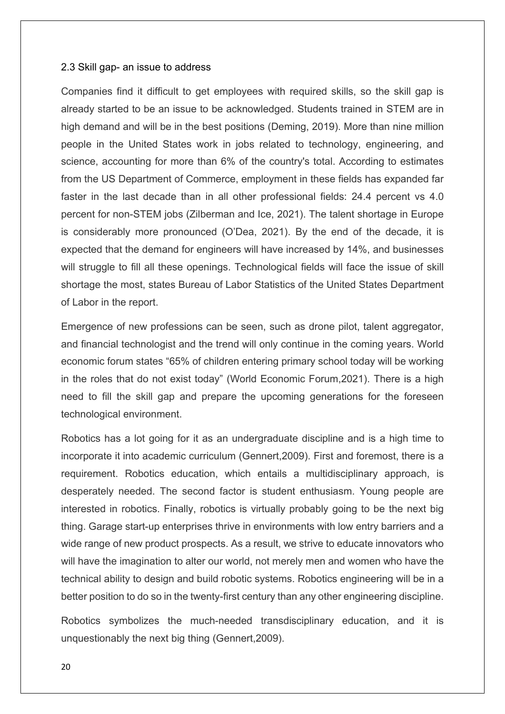#### 2.3 Skill gap- an issue to address

Companies find it difficult to get employees with required skills, so the skill gap is already started to be an issue to be acknowledged. Students trained in STEM are in high demand and will be in the best positions (Deming, 2019). More than nine million people in the United States work in jobs related to technology, engineering, and science, accounting for more than 6% of the country's total. According to estimates from the US Department of Commerce, employment in these fields has expanded far faster in the last decade than in all other professional fields: 24.4 percent vs 4.0 percent for non-STEM jobs (Zilberman and Ice, 2021). The talent shortage in Europe is considerably more pronounced (O'Dea, 2021). By the end of the decade, it is expected that the demand for engineers will have increased by 14%, and businesses will struggle to fill all these openings. Technological fields will face the issue of skill shortage the most, states Bureau of Labor Statistics of the United States Department of Labor in the report.

Emergence of new professions can be seen, such as drone pilot, talent aggregator, and financial technologist and the trend will only continue in the coming years. World economic forum states "65% of children entering primary school today will be working in the roles that do not exist today" (World Economic Forum,2021). There is a high need to fill the skill gap and prepare the upcoming generations for the foreseen technological environment.

Robotics has a lot going for it as an undergraduate discipline and is a high time to incorporate it into academic curriculum [\(Gennert,](https://ieeexplore.ieee.org/author/37268155100)2009). First and foremost, there is a requirement. Robotics education, which entails a multidisciplinary approach, is desperately needed. The second factor is student enthusiasm. Young people are interested in robotics. Finally, robotics is virtually probably going to be the next big thing. Garage start-up enterprises thrive in environments with low entry barriers and a wide range of new product prospects. As a result, we strive to educate innovators who will have the imagination to alter our world, not merely men and women who have the technical ability to design and build robotic systems. Robotics engineering will be in a better position to do so in the twenty-first century than any other engineering discipline.

Robotics symbolizes the much-needed transdisciplinary education, and it is unquestionably the next big thing [\(Gennert,](https://ieeexplore.ieee.org/author/37268155100)2009).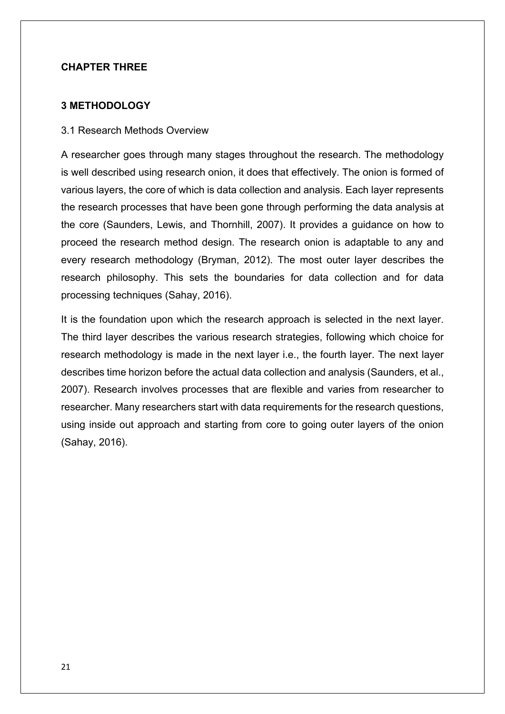## **CHAPTER THREE**

## **3 METHODOLOGY**

#### 3.1 Research Methods Overview

A researcher goes through many stages throughout the research. The methodology is well described using research onion, it does that effectively. The onion is formed of various layers, the core of which is data collection and analysis. Each layer represents the research processes that have been gone through performing the data analysis at the core (Saunders, Lewis, and Thornhill, 2007). It provides a guidance on how to proceed the research method design. The research onion is adaptable to any and every research methodology (Bryman, 2012). The most outer layer describes the research philosophy. This sets the boundaries for data collection and for data processing techniques (Sahay, 2016).

It is the foundation upon which the research approach is selected in the next layer. The third layer describes the various research strategies, following which choice for research methodology is made in the next layer i.e., the fourth layer. The next layer describes time horizon before the actual data collection and analysis (Saunders, et al., 2007). Research involves processes that are flexible and varies from researcher to researcher. Many researchers start with data requirements for the research questions, using inside out approach and starting from core to going outer layers of the onion (Sahay, 2016).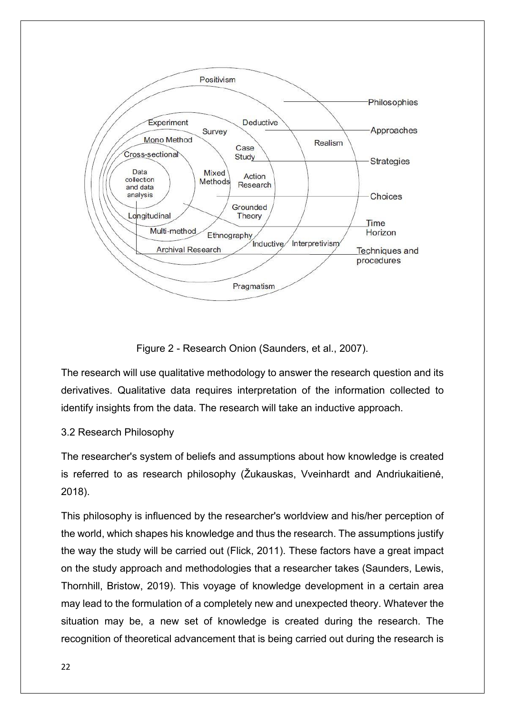

Figure 2 - Research Onion (Saunders, et al., 2007).

The research will use qualitative methodology to answer the research question and its derivatives. Qualitative data requires interpretation of the information collected to identify insights from the data. The research will take an inductive approach.

## 3.2 Research Philosophy

The researcher's system of beliefs and assumptions about how knowledge is created is referred to as research philosophy (Žukauskas, Vveinhardt and Andriukaitienė, 2018).

This philosophy is influenced by the researcher's worldview and his/her perception of the world, which shapes his knowledge and thus the research. The assumptions justify the way the study will be carried out (Flick, 2011). These factors have a great impact on the study approach and methodologies that a researcher takes (Saunders, Lewis, Thornhill, Bristow, 2019). This voyage of knowledge development in a certain area may lead to the formulation of a completely new and unexpected theory. Whatever the situation may be, a new set of knowledge is created during the research. The recognition of theoretical advancement that is being carried out during the research is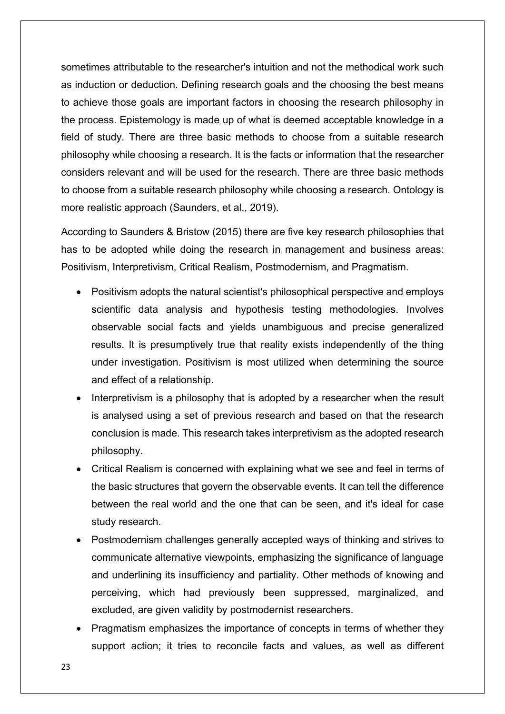sometimes attributable to the researcher's intuition and not the methodical work such as induction or deduction. Defining research goals and the choosing the best means to achieve those goals are important factors in choosing the research philosophy in the process. Epistemology is made up of what is deemed acceptable knowledge in a field of study. There are three basic methods to choose from a suitable research philosophy while choosing a research. It is the facts or information that the researcher considers relevant and will be used for the research. There are three basic methods to choose from a suitable research philosophy while choosing a research. Ontology is more realistic approach (Saunders, et al., 2019).

According to Saunders & Bristow (2015) there are five key research philosophies that has to be adopted while doing the research in management and business areas: Positivism, Interpretivism, Critical Realism, Postmodernism, and Pragmatism.

- Positivism adopts the natural scientist's philosophical perspective and employs scientific data analysis and hypothesis testing methodologies. Involves observable social facts and yields unambiguous and precise generalized results. It is presumptively true that reality exists independently of the thing under investigation. Positivism is most utilized when determining the source and effect of a relationship.
- Interpretivism is a philosophy that is adopted by a researcher when the result is analysed using a set of previous research and based on that the research conclusion is made. This research takes interpretivism as the adopted research philosophy.
- Critical Realism is concerned with explaining what we see and feel in terms of the basic structures that govern the observable events. It can tell the difference between the real world and the one that can be seen, and it's ideal for case study research.
- Postmodernism challenges generally accepted ways of thinking and strives to communicate alternative viewpoints, emphasizing the significance of language and underlining its insufficiency and partiality. Other methods of knowing and perceiving, which had previously been suppressed, marginalized, and excluded, are given validity by postmodernist researchers.
- Pragmatism emphasizes the importance of concepts in terms of whether they support action; it tries to reconcile facts and values, as well as different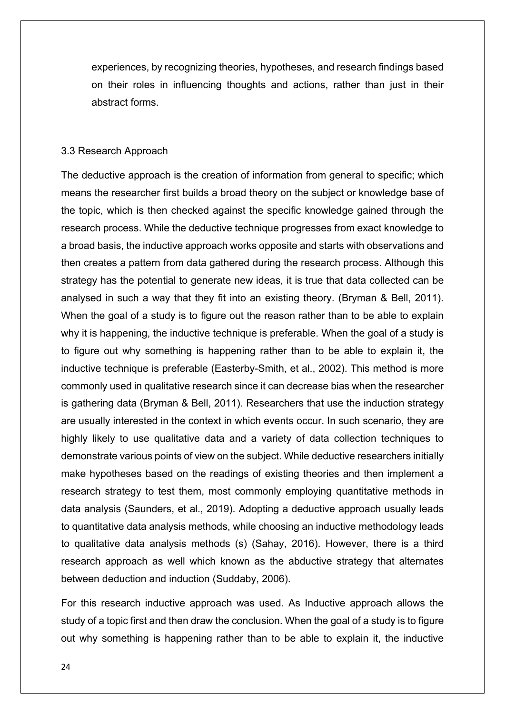experiences, by recognizing theories, hypotheses, and research findings based on their roles in influencing thoughts and actions, rather than just in their abstract forms.

#### 3.3 Research Approach

The deductive approach is the creation of information from general to specific; which means the researcher first builds a broad theory on the subject or knowledge base of the topic, which is then checked against the specific knowledge gained through the research process. While the deductive technique progresses from exact knowledge to a broad basis, the inductive approach works opposite and starts with observations and then creates a pattern from data gathered during the research process. Although this strategy has the potential to generate new ideas, it is true that data collected can be analysed in such a way that they fit into an existing theory. (Bryman & Bell, 2011). When the goal of a study is to figure out the reason rather than to be able to explain why it is happening, the inductive technique is preferable. When the goal of a study is to figure out why something is happening rather than to be able to explain it, the inductive technique is preferable (Easterby-Smith, et al., 2002). This method is more commonly used in qualitative research since it can decrease bias when the researcher is gathering data (Bryman & Bell, 2011). Researchers that use the induction strategy are usually interested in the context in which events occur. In such scenario, they are highly likely to use qualitative data and a variety of data collection techniques to demonstrate various points of view on the subject. While deductive researchers initially make hypotheses based on the readings of existing theories and then implement a research strategy to test them, most commonly employing quantitative methods in data analysis (Saunders, et al., 2019). Adopting a deductive approach usually leads to quantitative data analysis methods, while choosing an inductive methodology leads to qualitative data analysis methods (s) (Sahay, 2016). However, there is a third research approach as well which known as the abductive strategy that alternates between deduction and induction (Suddaby, 2006).

For this research inductive approach was used. As Inductive approach allows the study of a topic first and then draw the conclusion. When the goal of a study is to figure out why something is happening rather than to be able to explain it, the inductive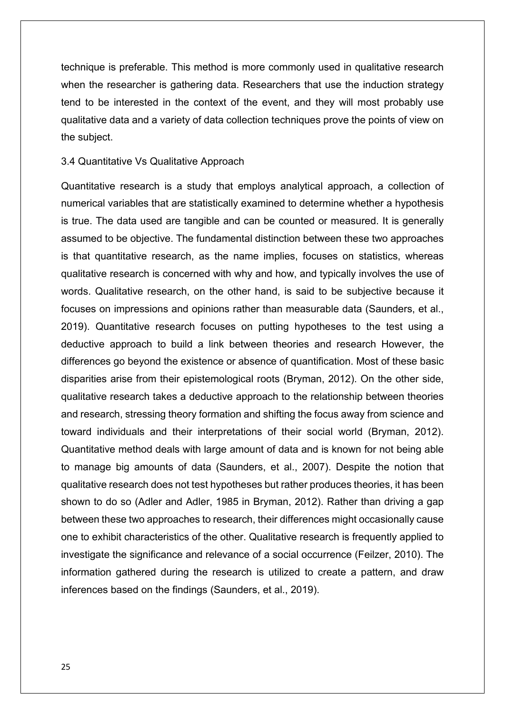technique is preferable. This method is more commonly used in qualitative research when the researcher is gathering data. Researchers that use the induction strategy tend to be interested in the context of the event, and they will most probably use qualitative data and a variety of data collection techniques prove the points of view on the subject.

#### 3.4 Quantitative Vs Qualitative Approach

Quantitative research is a study that employs analytical approach, a collection of numerical variables that are statistically examined to determine whether a hypothesis is true. The data used are tangible and can be counted or measured. It is generally assumed to be objective. The fundamental distinction between these two approaches is that quantitative research, as the name implies, focuses on statistics, whereas qualitative research is concerned with why and how, and typically involves the use of words. Qualitative research, on the other hand, is said to be subjective because it focuses on impressions and opinions rather than measurable data (Saunders, et al., 2019). Quantitative research focuses on putting hypotheses to the test using a deductive approach to build a link between theories and research However, the differences go beyond the existence or absence of quantification. Most of these basic disparities arise from their epistemological roots (Bryman, 2012). On the other side, qualitative research takes a deductive approach to the relationship between theories and research, stressing theory formation and shifting the focus away from science and toward individuals and their interpretations of their social world (Bryman, 2012). Quantitative method deals with large amount of data and is known for not being able to manage big amounts of data (Saunders, et al., 2007). Despite the notion that qualitative research does not test hypotheses but rather produces theories, it has been shown to do so (Adler and Adler, 1985 in Bryman, 2012). Rather than driving a gap between these two approaches to research, their differences might occasionally cause one to exhibit characteristics of the other. Qualitative research is frequently applied to investigate the significance and relevance of a social occurrence (Feilzer, 2010). The information gathered during the research is utilized to create a pattern, and draw inferences based on the findings (Saunders, et al., 2019).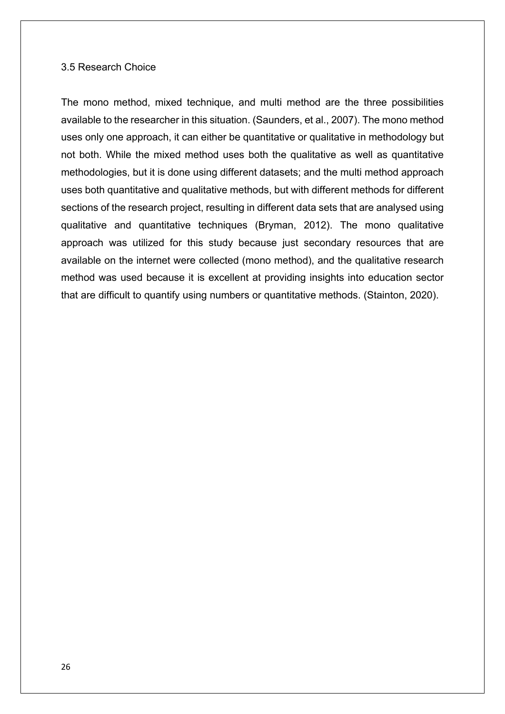#### 3.5 Research Choice

The mono method, mixed technique, and multi method are the three possibilities available to the researcher in this situation. (Saunders, et al., 2007). The mono method uses only one approach, it can either be quantitative or qualitative in methodology but not both. While the mixed method uses both the qualitative as well as quantitative methodologies, but it is done using different datasets; and the multi method approach uses both quantitative and qualitative methods, but with different methods for different sections of the research project, resulting in different data sets that are analysed using qualitative and quantitative techniques (Bryman, 2012). The mono qualitative approach was utilized for this study because just secondary resources that are available on the internet were collected (mono method), and the qualitative research method was used because it is excellent at providing insights into education sector that are difficult to quantify using numbers or quantitative methods. (Stainton, 2020).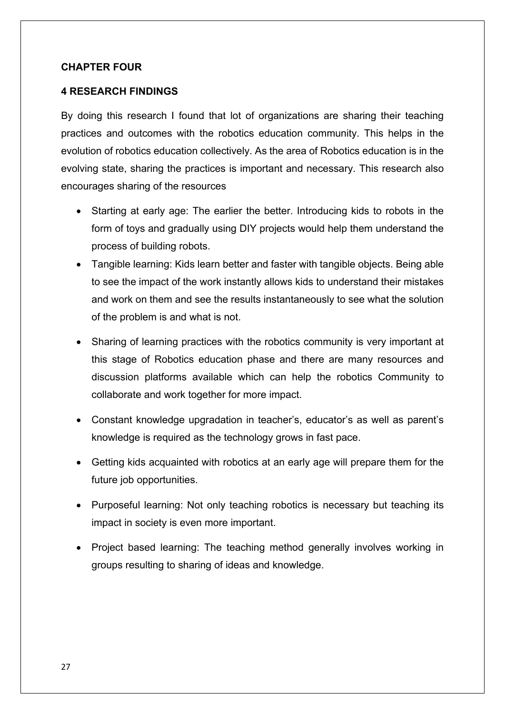## **CHAPTER FOUR**

## **4 RESEARCH FINDINGS**

By doing this research I found that lot of organizations are sharing their teaching practices and outcomes with the robotics education community. This helps in the evolution of robotics education collectively. As the area of Robotics education is in the evolving state, sharing the practices is important and necessary. This research also encourages sharing of the resources

- Starting at early age: The earlier the better. Introducing kids to robots in the form of toys and gradually using DIY projects would help them understand the process of building robots.
- Tangible learning: Kids learn better and faster with tangible objects. Being able to see the impact of the work instantly allows kids to understand their mistakes and work on them and see the results instantaneously to see what the solution of the problem is and what is not.
- Sharing of learning practices with the robotics community is very important at this stage of Robotics education phase and there are many resources and discussion platforms available which can help the robotics Community to collaborate and work together for more impact.
- Constant knowledge upgradation in teacher's, educator's as well as parent's knowledge is required as the technology grows in fast pace.
- Getting kids acquainted with robotics at an early age will prepare them for the future job opportunities.
- Purposeful learning: Not only teaching robotics is necessary but teaching its impact in society is even more important.
- Project based learning: The teaching method generally involves working in groups resulting to sharing of ideas and knowledge.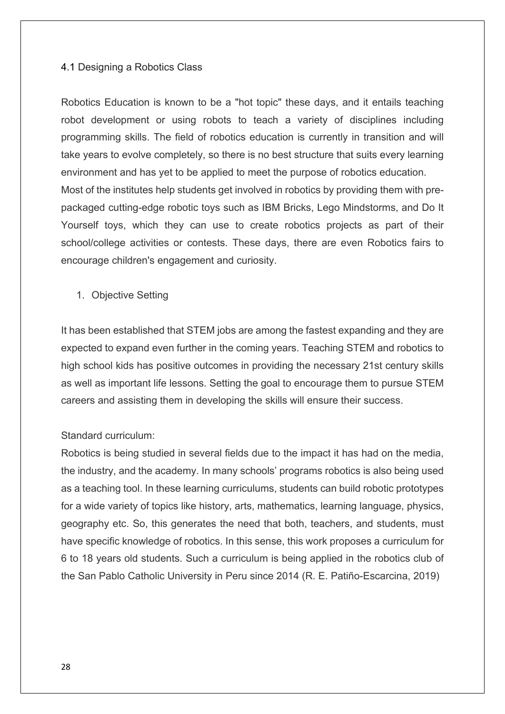#### 4.1 Designing a Robotics Class

Robotics Education is known to be a "hot topic" these days, and it entails teaching robot development or using robots to teach a variety of disciplines including programming skills. The field of robotics education is currently in transition and will take years to evolve completely, so there is no best structure that suits every learning environment and has yet to be applied to meet the purpose of robotics education. Most of the institutes help students get involved in robotics by providing them with prepackaged cutting-edge robotic toys such as IBM Bricks, Lego Mindstorms, and Do It Yourself toys, which they can use to create robotics projects as part of their school/college activities or contests. These days, there are even Robotics fairs to encourage children's engagement and curiosity.

1. Objective Setting

It has been established that STEM jobs are among the fastest expanding and they are expected to expand even further in the coming years. Teaching STEM and robotics to high school kids has positive outcomes in providing the necessary 21st century skills as well as important life lessons. Setting the goal to encourage them to pursue STEM careers and assisting them in developing the skills will ensure their success.

#### Standard curriculum:

Robotics is being studied in several fields due to the impact it has had on the media, the industry, and the academy. In many schools' programs robotics is also being used as a teaching tool. In these learning curriculums, students can build robotic prototypes for a wide variety of topics like history, arts, mathematics, learning language, physics, geography etc. So, this generates the need that both, teachers, and students, must have specific knowledge of robotics. In this sense, this work proposes a curriculum for 6 to 18 years old students. Such a curriculum is being applied in the robotics club of the San Pablo Catholic University in Peru since 2014 (R. E. Patiño-Escarcina, 2019)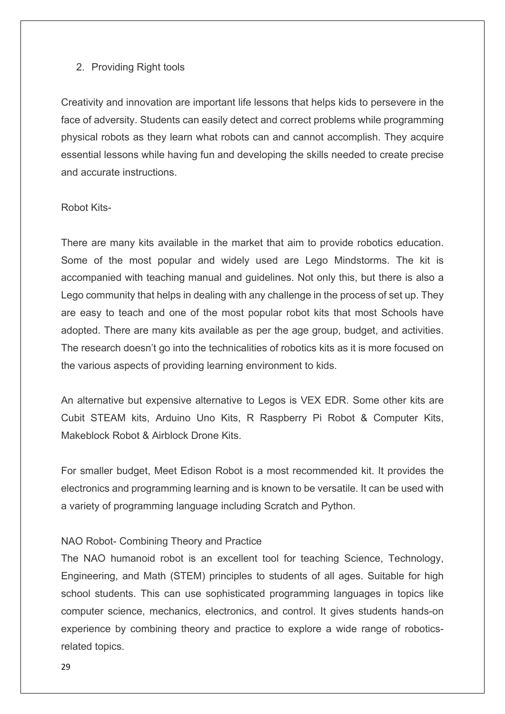#### 2. Providing Right tools

Creativity and innovation are important life lessons that helps kids to persevere in the face of adversity. Students can easily detect and correct problems while programming physical robots as they learn what robots can and cannot accomplish. They acquire essential lessons while having fun and developing the skills needed to create precise and accurate instructions.

#### Robot Kits-

There are many kits available in the market that aim to provide robotics education. Some of the most popular and widely used are Lego Mindstorms. The kit is accompanied with teaching manual and guidelines. Not only this, but there is also a Lego community that helps in dealing with any challenge in the process of set up. They are easy to teach and one of the most popular robot kits that most Schools have adopted. There are many kits available as per the age group, budget, and activities. The research doesn't go into the technicalities of robotics kits as it is more focused on the various aspects of providing learning environment to kids.

An alternative but expensive alternative to Legos is VEX EDR. Some other kits are Cubit STEAM kits, Arduino Uno Kits, R Raspberry Pi Robot & Computer Kits, Makeblock Robot & Airblock Drone Kits.

For smaller budget, Meet Edison Robot is a most recommended kit. It provides the electronics and programming learning and is known to be versatile. It can be used with a variety of programming language including Scratch and Python.

## [NAO Robot-](https://www.robotlab.com/store/nao-power-v6-educator-pack) Combining Theory and Practice

The NAO humanoid robot is an excellent tool for teaching Science, Technology, Engineering, and Math (STEM) principles to students of all ages. Suitable for high school students. This can use sophisticated programming languages in topics like computer science, mechanics, electronics, and control. It gives students hands-on experience by combining theory and practice to explore a wide range of roboticsrelated topics.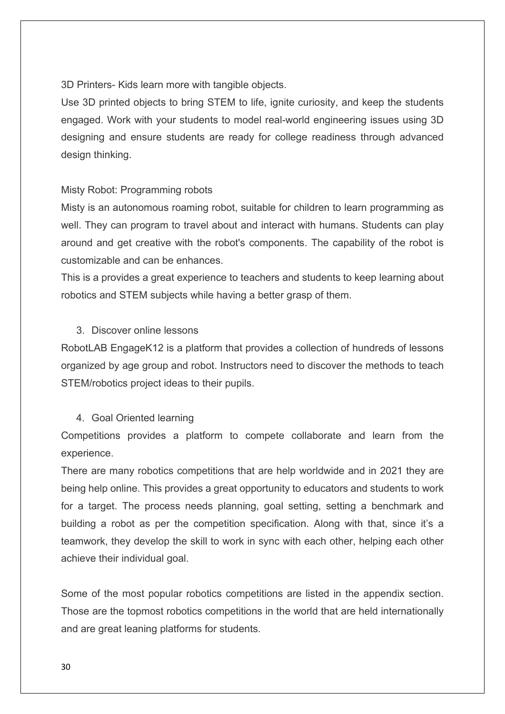[3D Printers-](https://www.robotlab.com/store/makerbot-replicator-5th-generation) Kids learn more with tangible objects.

Use 3D printed objects to bring STEM to life, ignite curiosity, and keep the students engaged. Work with your students to model real-world engineering issues using 3D designing and ensure students are ready for college readiness through advanced design thinking.

## Misty Robot: Programming robots

Misty is an autonomous roaming robot, suitable for children to learn programming as well. They can program to travel about and interact with humans. Students can play around and get creative with the robot's components. The capability of the robot is customizable and can be enhances.

This is a provides a great experience to teachers and students to keep learning about robotics and STEM subjects while having a better grasp of them.

## 3. Discover online lessons

RobotLAB EngageK12 is a platform that provides a collection of hundreds of lessons organized by age group and robot. Instructors need to discover the methods to teach STEM/robotics project ideas to their pupils.

## 4. Goal Oriented learning

Competitions provides a platform to compete collaborate and learn from the experience.

There are many robotics competitions that are help worldwide and in 2021 they are being help online. This provides a great opportunity to educators and students to work for a target. The process needs planning, goal setting, setting a benchmark and building a robot as per the competition specification. Along with that, since it's a teamwork, they develop the skill to work in sync with each other, helping each other achieve their individual goal.

Some of the most popular robotics competitions are listed in the appendix section. Those are the topmost robotics competitions in the world that are held internationally and are great leaning platforms for students.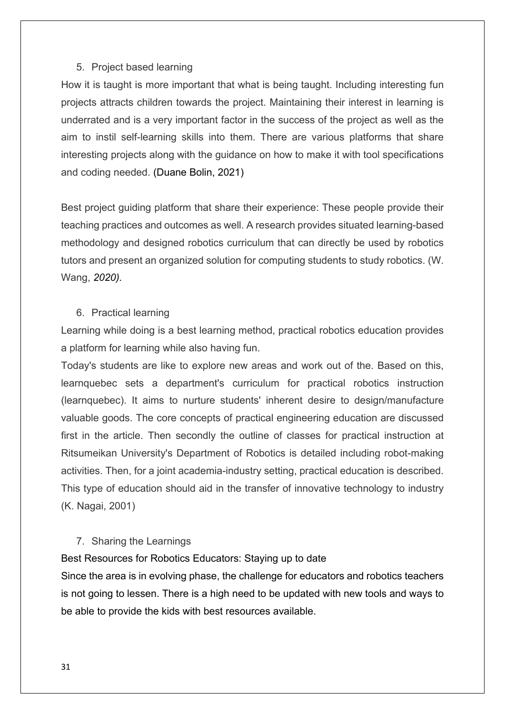#### 5. Project based learning

How it is taught is more important that what is being taught. Including interesting fun projects attracts children towards the project. Maintaining their interest in learning is underrated and is a very important factor in the success of the project as well as the aim to instil self-learning skills into them. There are various platforms that share interesting projects along with the guidance on how to make it with tool specifications and coding needed. (Duane Bolin, 2021)

Best project guiding platform that share their experience: These people provide their teaching practices and outcomes as well. A research provides situated learning-based methodology and designed robotics curriculum that can directly be used by robotics tutors and present an organized solution for computing students to study robotics. (W. Wang, *2020).*

#### 6. Practical learning

Learning while doing is a best learning method, practical robotics education provides a platform for learning while also having fun.

Today's students are like to explore new areas and work out of the. Based on this, learnquebec sets a department's curriculum for practical robotics instruction (learnquebec). It aims to nurture students' inherent desire to design/manufacture valuable goods. The core concepts of practical engineering education are discussed first in the article. Then secondly the outline of classes for practical instruction at Ritsumeikan University's Department of Robotics is detailed including robot-making activities. Then, for a joint academia-industry setting, practical education is described. This type of education should aid in the transfer of innovative technology to industry [\(K. Nagai,](https://ieeexplore.ieee.org/author/37339437000) 2001)

#### 7. Sharing the Learnings

## Best Resources for Robotics Educators: Staying up to date

Since the area is in evolving phase, the challenge for educators and robotics teachers is not going to lessen. There is a high need to be updated with new tools and ways to be able to provide the kids with best resources available.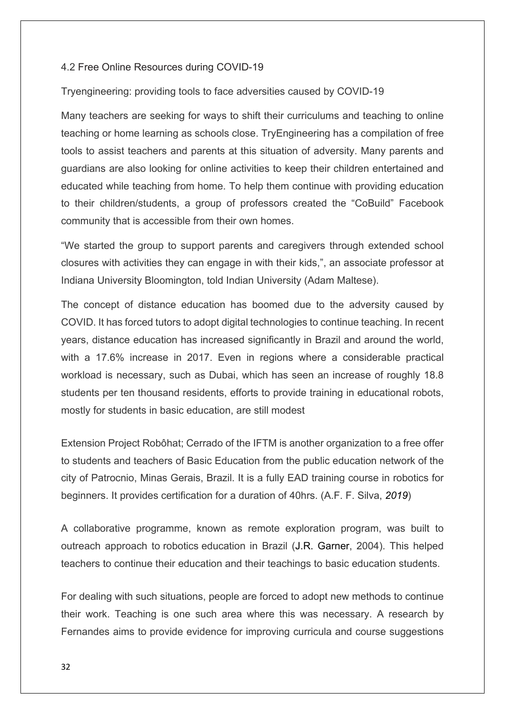#### 4.2 Free Online Resources during COVID-19

Tryengineering: providing tools to face adversities caused by COVID-19

Many teachers are seeking for ways to shift their curriculums and teaching to online teaching or home learning as schools close. TryEngineering has a compilation of free tools to assist teachers and parents at this situation of adversity. Many parents and guardians are also looking for online activities to keep their children entertained and educated while teaching from home. To help them continue with providing education to their children/students, a group of professors created the "CoBuild" Facebook community that is accessible from their own homes.

"We started the group to support parents and caregivers through extended school closures with activities they can engage in with their kids,", an associate professor at Indiana University Bloomington, told Indian University (Adam Maltese).

The concept of distance education has boomed due to the adversity caused by COVID. It has forced tutors to adopt digital technologies to continue teaching. In recent years, distance education has increased significantly in Brazil and around the world, with a 17.6% increase in 2017. Even in regions where a considerable practical workload is necessary, such as Dubai, which has seen an increase of roughly 18.8 students per ten thousand residents, efforts to provide training in educational robots, mostly for students in basic education, are still modest

Extension Project Robôhat; Cerrado of the IFTM is another organization to a free offer to students and teachers of Basic Education from the public education network of the city of Patrocnio, Minas Gerais, Brazil. It is a fully EAD training course in robotics for beginners. It provides certification for a duration of 40hrs. (A.F. F. Silva, *2019*)

A [collaborative programme, known as remote exploration program,](https://ieeexplore.ieee.org/document/1308089/) was built to [outreach approach to](https://ieeexplore.ieee.org/document/1308089/) robotics education in Brazil [\(J.R. Garner,](https://ieeexplore.ieee.org/author/37274157600) 2004). This helped teachers to continue their education and their teachings to basic education students.

For dealing with such situations, people are forced to adopt new methods to continue their work. Teaching is one such area where this was necessary. A research by Fernandes aims to provide evidence for improving curricula and course suggestions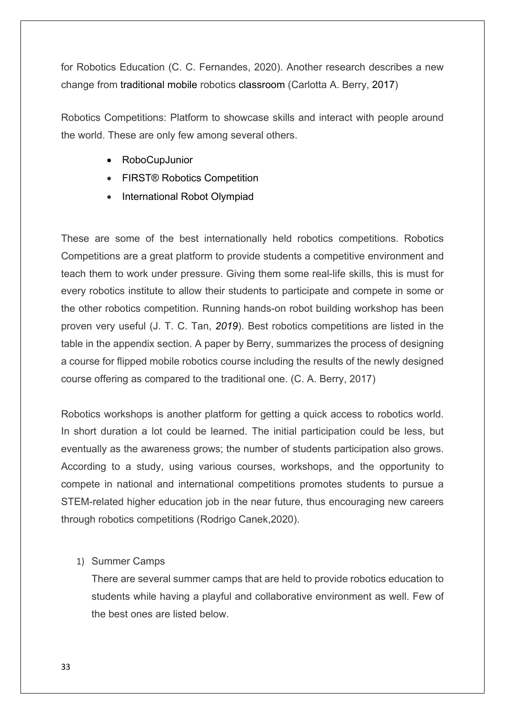for Robotics Education (C. C. Fernandes, 2020). Another research describes a new change from [traditional mobile](https://ieeexplore.ieee.org/document/8190719/) robotics classroom [\(Carlotta A. Berry,](https://ieeexplore.ieee.org/author/37648286300) [2017\)](https://ieeexplore.ieee.org/xpl/conhome/8124740/proceeding)

Robotics Competitions: Platform to showcase skills and interact with people around the world. These are only few among several others.

- RoboCupJunior
- FIRST® Robotics Competition
- International Robot Olympiad

These are some of the best internationally held robotics competitions. Robotics Competitions are a great platform to provide students a competitive environment and teach them to work under pressure. Giving them some real-life skills, this is must for every robotics institute to allow their students to participate and compete in some or the other robotics competition. Running hands-on robot building workshop has been proven very useful (J. T. C. Tan, *2019*). Best robotics competitions are listed in the table in the appendix section. A paper by Berry, summarizes the process of designing a course for flipped mobile robotics course including the results of the newly designed course offering as compared to the traditional one. (C. A. Berry, 2017)

Robotics workshops is another platform for getting a quick access to robotics world. In short duration a lot could be learned. The initial participation could be less, but eventually as the awareness grows; the number of students participation also grows. According to a study, using various courses, workshops, and the opportunity to compete in national and international competitions promotes students to pursue a STEM-related higher education job in the near future, thus encouraging new careers through robotics competitions [\(Rodrigo Canek,](https://ieeexplore.ieee.org/author/37087058137)2020).

## 1) Summer Camps

There are several summer camps that are held to provide robotics education to students while having a playful and collaborative environment as well. Few of the best ones are listed below.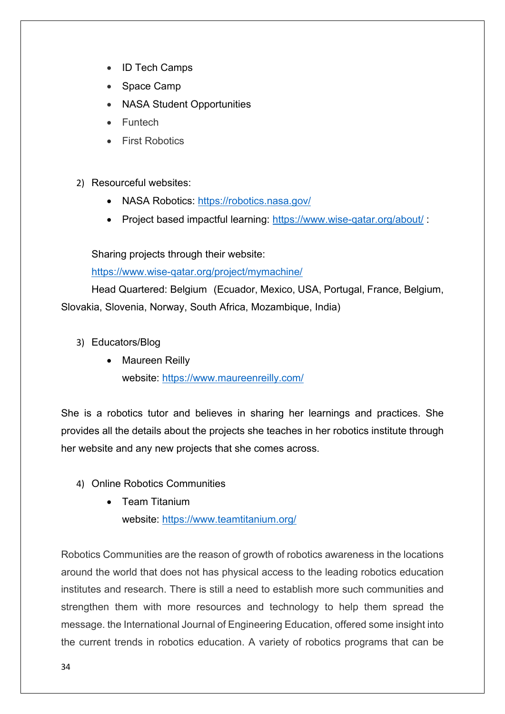- ID Tech Camps
- Space Camp
- NASA Student Opportunities
- Funtech
- First Robotics
- 2) Resourceful websites:
	- NASA Robotics: <https://robotics.nasa.gov/>
	- Project based impactful learning:<https://www.wise-qatar.org/about/> :

Sharing projects through their website:

<https://www.wise-qatar.org/project/mymachine/>

Head Quartered: Belgium (Ecuador, Mexico, USA, Portugal, France, Belgium, Slovakia, Slovenia, Norway, South Africa, Mozambique, India)

- 3) Educators/Blog
	- Maureen Reilly website:<https://www.maureenreilly.com/>

She is a robotics tutor and believes in sharing her learnings and practices. She provides all the details about the projects she teaches in her robotics institute through her website and any new projects that she comes across.

- 4) Online Robotics Communities
	- Team Titanium website:<https://www.teamtitanium.org/>

Robotics Communities are the reason of growth of robotics awareness in the locations around the world that does not has physical access to the leading robotics education institutes and research. There is still a need to establish more such communities and strengthen them with more resources and technology to help them spread the message. the International Journal of Engineering Education, offered some insight into the current trends in robotics education. A variety of robotics programs that can be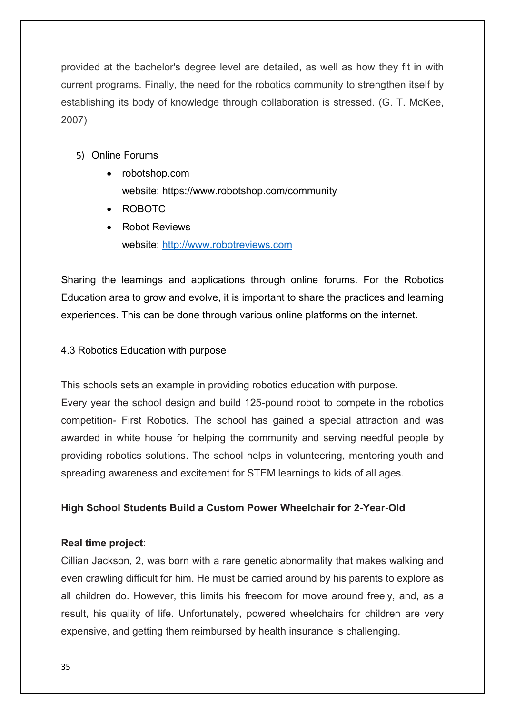provided at the bachelor's degree level are detailed, as well as how they fit in with current programs. Finally, the need for the robotics community to strengthen itself by establishing its body of knowledge through collaboration is stressed. (G. T. McKee, 2007)

- 5) Online Forums
	- robotshop.com website: https://www.robotshop.com/community
	- ROBOTC
	- Robot Reviews website: [http://www.robotreviews.com](http://www.robotreviews.com/)

Sharing the learnings and applications through online forums. For the Robotics Education area to grow and evolve, it is important to share the practices and learning experiences. This can be done through various online platforms on the internet.

## 4.3 Robotics Education with purpose

This schools sets an example in providing robotics education with purpose.

Every year the school design and build 125-pound robot to compete in the robotics competition- First Robotics. The school has gained a special attraction and was awarded in white house for helping the community and serving needful people by providing robotics solutions. The school helps in volunteering, mentoring youth and spreading awareness and excitement for STEM learnings to kids of all ages.

## **High School Students Build a Custom Power Wheelchair for 2-Year-Old**

## **Real time project**:

Cillian Jackson, 2, was born with a rare genetic abnormality that makes walking and even crawling difficult for him. He must be carried around by his parents to explore as all children do. However, this limits his freedom for move around freely, and, as a result, his quality of life. Unfortunately, powered wheelchairs for children are very expensive, and getting them reimbursed by health insurance is challenging.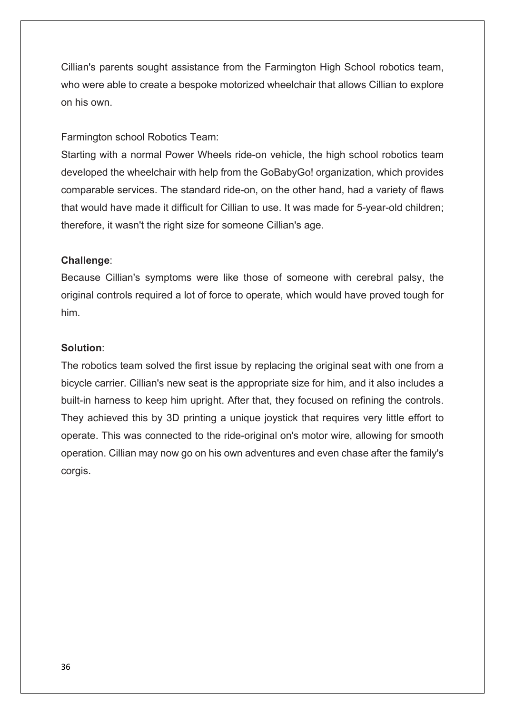Cillian's parents sought assistance from the Farmington High School robotics team, who were able to create a bespoke motorized wheelchair that allows Cillian to explore on his own.

## Farmington school Robotics Team:

Starting with a normal Power Wheels ride-on vehicle, the high school robotics team developed the wheelchair with help from the GoBabyGo! organization, which provides comparable services. The standard ride-on, on the other hand, had a variety of flaws that would have made it difficult for Cillian to use. It was made for 5-year-old children; therefore, it wasn't the right size for someone Cillian's age.

## **Challenge**:

Because Cillian's symptoms were like those of someone with cerebral palsy, the original controls required a lot of force to operate, which would have proved tough for him.

#### **Solution**:

The robotics team solved the first issue by replacing the original seat with one from a bicycle carrier. Cillian's new seat is the appropriate size for him, and it also includes a built-in harness to keep him upright. After that, they focused on refining the controls. They achieved this by 3D printing a unique joystick that requires very little effort to operate. This was connected to the ride-original on's motor wire, allowing for smooth operation. Cillian may now go on his own adventures and even chase after the family's corgis.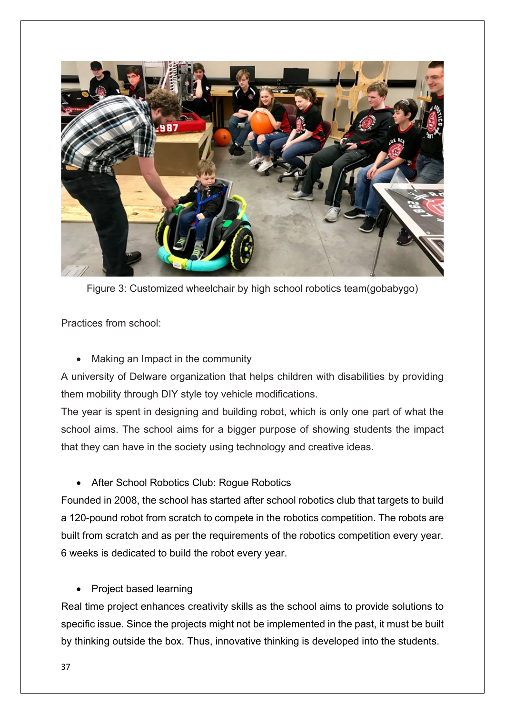

Figure 3: Customized wheelchair by high school robotics team(gobabygo)

Practices from school:

• Making an Impact in the community

A university of Delware organization that helps children with disabilities by providing them mobility through DIY style toy vehicle modifications.

The year is spent in designing and building robot, which is only one part of what the school aims. The school aims for a bigger purpose of showing students the impact that they can have in the society using technology and creative ideas.

• After School Robotics Club: Rogue Robotics

Founded in 2008, the school has started after school robotics club that targets to build a 120-pound robot from scratch to compete in the robotics competition. The robots are built from scratch and as per the requirements of the robotics competition every year. 6 weeks is dedicated to build the robot every year.

• Project based learning

Real time project enhances creativity skills as the school aims to provide solutions to specific issue. Since the projects might not be implemented in the past, it must be built by thinking outside the box. Thus, innovative thinking is developed into the students.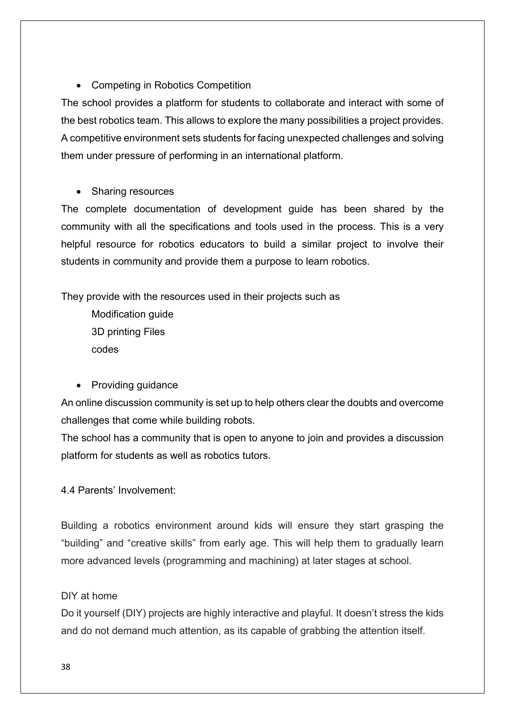• Competing in Robotics Competition

The school provides a platform for students to collaborate and interact with some of the best robotics team. This allows to explore the many possibilities a project provides. A competitive environment sets students for facing unexpected challenges and solving them under pressure of performing in an international platform.

• Sharing resources

The complete documentation of development guide has been shared by the community with all the specifications and tools used in the process. This is a very helpful resource for robotics educators to build a similar project to involve their students in community and provide them a purpose to learn robotics.

They provide with the resources used in their projects such as

Modification guide 3D printing Files codes

• Providing quidance

An online discussion community is set up to help others clear the doubts and overcome challenges that come while building robots.

The school has a community that is open to anyone to join and provides a discussion platform for students as well as robotics tutors.

4.4 Parents' Involvement:

Building a robotics environment around kids will ensure they start grasping the "building" and "creative skills" from early age. This will help them to gradually learn more advanced levels (programming and machining) at later stages at school.

## DIY at home

Do it yourself (DIY) projects are highly interactive and playful. It doesn't stress the kids and do not demand much attention, as its capable of grabbing the attention itself.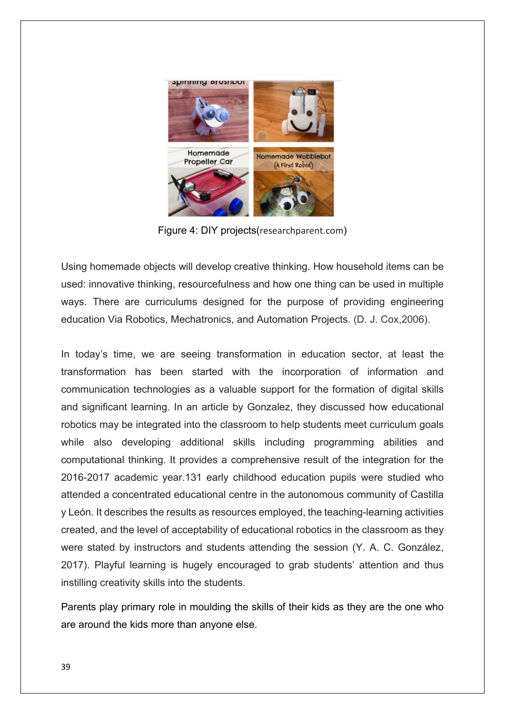

Figure 4: DIY projects(researchparent.com)

Using homemade objects will develop creative thinking. How household items can be used: innovative thinking, resourcefulness and how one thing can be used in multiple ways. There are curriculums designed for the purpose of providing engineering education Via Robotics, Mechatronics, and Automation Projects. (D. J. Cox,2006).

In today's time, we are seeing transformation in education sector, at least the transformation has been started with the incorporation of information and communication technologies as a valuable support for the formation of digital skills and significant learning. In an article by Gonzalez, they discussed how educational robotics may be integrated into the classroom to help students meet curriculum goals while also developing additional skills including programming abilities and computational thinking. It provides a comprehensive result of the integration for the 2016-2017 academic year.131 early childhood education pupils were studied who attended a concentrated educational centre in the autonomous community of Castilla y León. It describes the results as resources employed, the teaching-learning activities created, and the level of acceptability of educational robotics in the classroom as they were stated by instructors and students attending the session (Y. A. C. González, 2017). Playful learning is hugely encouraged to grab students' attention and thus instilling creativity skills into the students.

Parents play primary role in moulding the skills of their kids as they are the one who are around the kids more than anyone else.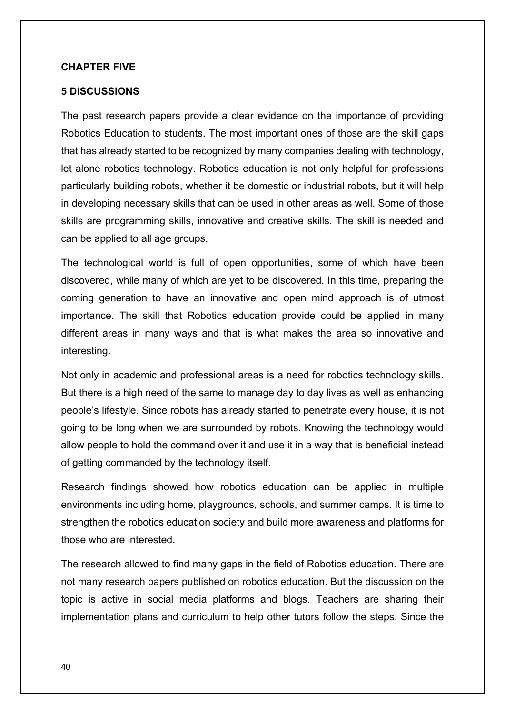#### **CHAPTER FIVE**

#### **5 DISCUSSIONS**

The past research papers provide a clear evidence on the importance of providing Robotics Education to students. The most important ones of those are the skill gaps that has already started to be recognized by many companies dealing with technology, let alone robotics technology. Robotics education is not only helpful for professions particularly building robots, whether it be domestic or industrial robots, but it will help in developing necessary skills that can be used in other areas as well. Some of those skills are programming skills, innovative and creative skills. The skill is needed and can be applied to all age groups.

The technological world is full of open opportunities, some of which have been discovered, while many of which are yet to be discovered. In this time, preparing the coming generation to have an innovative and open mind approach is of utmost importance. The skill that Robotics education provide could be applied in many different areas in many ways and that is what makes the area so innovative and interesting.

Not only in academic and professional areas is a need for robotics technology skills. But there is a high need of the same to manage day to day lives as well as enhancing people's lifestyle. Since robots has already started to penetrate every house, it is not going to be long when we are surrounded by robots. Knowing the technology would allow people to hold the command over it and use it in a way that is beneficial instead of getting commanded by the technology itself.

Research findings showed how robotics education can be applied in multiple environments including home, playgrounds, schools, and summer camps. It is time to strengthen the robotics education society and build more awareness and platforms for those who are interested.

The research allowed to find many gaps in the field of Robotics education. There are not many research papers published on robotics education. But the discussion on the topic is active in social media platforms and blogs. Teachers are sharing their implementation plans and curriculum to help other tutors follow the steps. Since the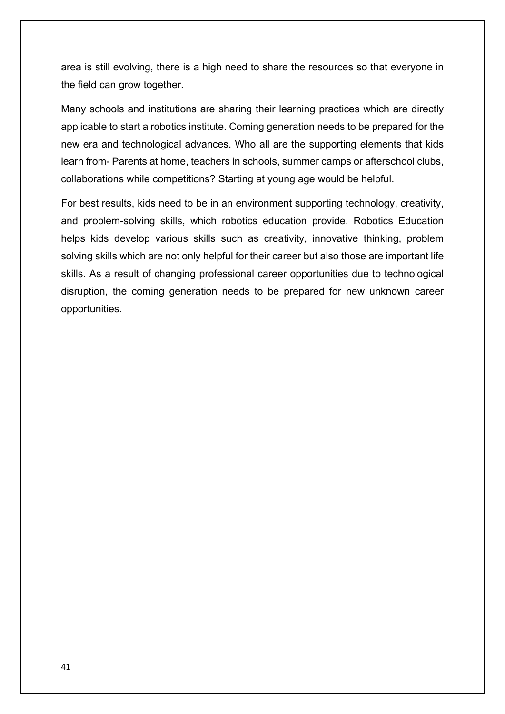area is still evolving, there is a high need to share the resources so that everyone in the field can grow together.

Many schools and institutions are sharing their learning practices which are directly applicable to start a robotics institute. Coming generation needs to be prepared for the new era and technological advances. Who all are the supporting elements that kids learn from- Parents at home, teachers in schools, summer camps or afterschool clubs, collaborations while competitions? Starting at young age would be helpful.

For best results, kids need to be in an environment supporting technology, creativity, and problem-solving skills, which robotics education provide. Robotics Education helps kids develop various skills such as creativity, innovative thinking, problem solving skills which are not only helpful for their career but also those are important life skills. As a result of changing professional career opportunities due to technological disruption, the coming generation needs to be prepared for new unknown career opportunities.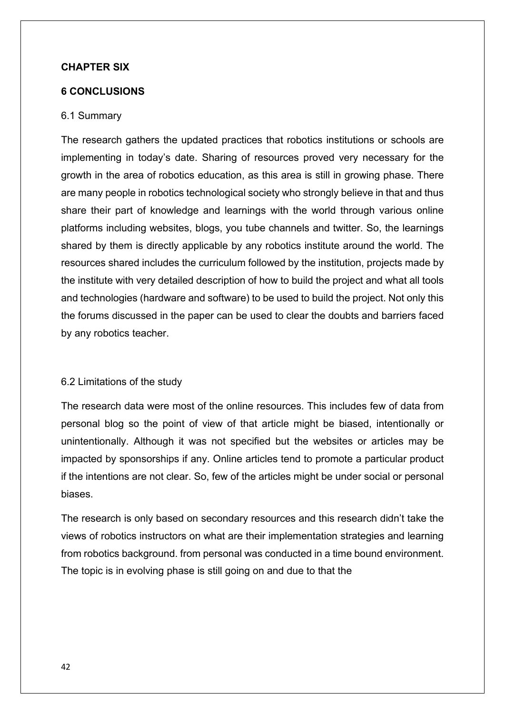#### **CHAPTER SIX**

#### **6 CONCLUSIONS**

#### 6.1 Summary

The research gathers the updated practices that robotics institutions or schools are implementing in today's date. Sharing of resources proved very necessary for the growth in the area of robotics education, as this area is still in growing phase. There are many people in robotics technological society who strongly believe in that and thus share their part of knowledge and learnings with the world through various online platforms including websites, blogs, you tube channels and twitter. So, the learnings shared by them is directly applicable by any robotics institute around the world. The resources shared includes the curriculum followed by the institution, projects made by the institute with very detailed description of how to build the project and what all tools and technologies (hardware and software) to be used to build the project. Not only this the forums discussed in the paper can be used to clear the doubts and barriers faced by any robotics teacher.

#### 6.2 Limitations of the study

The research data were most of the online resources. This includes few of data from personal blog so the point of view of that article might be biased, intentionally or unintentionally. Although it was not specified but the websites or articles may be impacted by sponsorships if any. Online articles tend to promote a particular product if the intentions are not clear. So, few of the articles might be under social or personal biases.

The research is only based on secondary resources and this research didn't take the views of robotics instructors on what are their implementation strategies and learning from robotics background. from personal was conducted in a time bound environment. The topic is in evolving phase is still going on and due to that the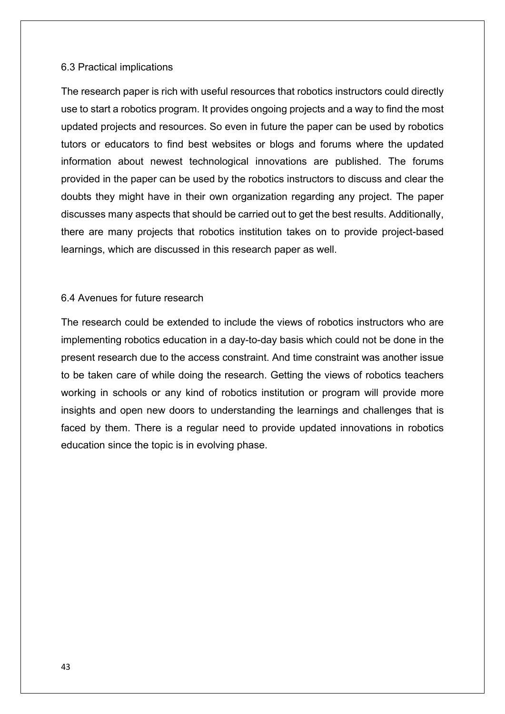#### 6.3 Practical implications

The research paper is rich with useful resources that robotics instructors could directly use to start a robotics program. It provides ongoing projects and a way to find the most updated projects and resources. So even in future the paper can be used by robotics tutors or educators to find best websites or blogs and forums where the updated information about newest technological innovations are published. The forums provided in the paper can be used by the robotics instructors to discuss and clear the doubts they might have in their own organization regarding any project. The paper discusses many aspects that should be carried out to get the best results. Additionally, there are many projects that robotics institution takes on to provide project-based learnings, which are discussed in this research paper as well.

#### 6.4 Avenues for future research

The research could be extended to include the views of robotics instructors who are implementing robotics education in a day-to-day basis which could not be done in the present research due to the access constraint. And time constraint was another issue to be taken care of while doing the research. Getting the views of robotics teachers working in schools or any kind of robotics institution or program will provide more insights and open new doors to understanding the learnings and challenges that is faced by them. There is a regular need to provide updated innovations in robotics education since the topic is in evolving phase.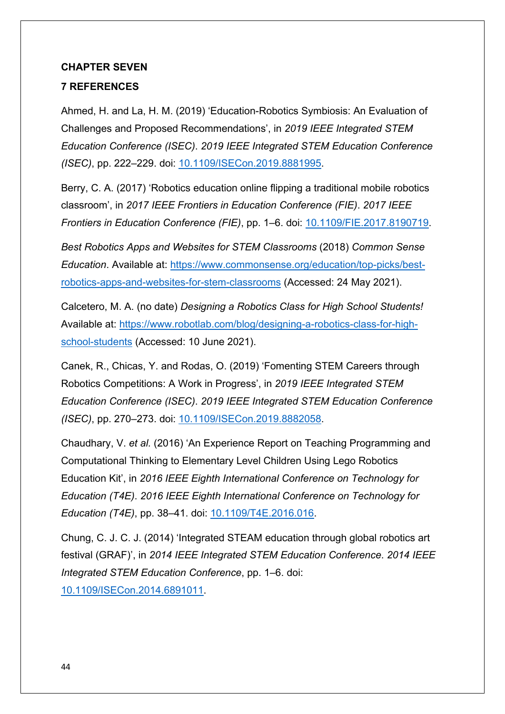## **CHAPTER SEVEN**

## **7 REFERENCES**

Ahmed, H. and La, H. M. (2019) 'Education-Robotics Symbiosis: An Evaluation of Challenges and Proposed Recommendations', in *2019 IEEE Integrated STEM Education Conference (ISEC)*. *2019 IEEE Integrated STEM Education Conference (ISEC)*, pp. 222–229. doi: [10.1109/ISECon.2019.8881995.](https://doi.org/10.1109/ISECon.2019.8881995)

Berry, C. A. (2017) 'Robotics education online flipping a traditional mobile robotics classroom', in *2017 IEEE Frontiers in Education Conference (FIE)*. *2017 IEEE Frontiers in Education Conference (FIE)*, pp. 1–6. doi: [10.1109/FIE.2017.8190719.](https://doi.org/10.1109/FIE.2017.8190719)

*Best Robotics Apps and Websites for STEM Classrooms* (2018) *Common Sense Education*. Available at: [https://www.commonsense.org/education/top-picks/best](https://www.commonsense.org/education/top-picks/best-robotics-apps-and-websites-for-stem-classrooms)[robotics-apps-and-websites-for-stem-classrooms](https://www.commonsense.org/education/top-picks/best-robotics-apps-and-websites-for-stem-classrooms) (Accessed: 24 May 2021).

Calcetero, M. A. (no date) *Designing a Robotics Class for High School Students!* Available at: [https://www.robotlab.com/blog/designing-a-robotics-class-for-high](https://www.robotlab.com/blog/designing-a-robotics-class-for-high-school-students)[school-students](https://www.robotlab.com/blog/designing-a-robotics-class-for-high-school-students) (Accessed: 10 June 2021).

Canek, R., Chicas, Y. and Rodas, O. (2019) 'Fomenting STEM Careers through Robotics Competitions: A Work in Progress', in *2019 IEEE Integrated STEM Education Conference (ISEC)*. *2019 IEEE Integrated STEM Education Conference (ISEC)*, pp. 270–273. doi: [10.1109/ISECon.2019.8882058.](https://doi.org/10.1109/ISECon.2019.8882058)

Chaudhary, V. *et al.* (2016) 'An Experience Report on Teaching Programming and Computational Thinking to Elementary Level Children Using Lego Robotics Education Kit', in *2016 IEEE Eighth International Conference on Technology for Education (T4E)*. *2016 IEEE Eighth International Conference on Technology for Education (T4E)*, pp. 38–41. doi: [10.1109/T4E.2016.016.](https://doi.org/10.1109/T4E.2016.016)

Chung, C. J. C. J. (2014) 'Integrated STEAM education through global robotics art festival (GRAF)', in *2014 IEEE Integrated STEM Education Conference*. *2014 IEEE Integrated STEM Education Conference*, pp. 1–6. doi: [10.1109/ISECon.2014.6891011.](https://doi.org/10.1109/ISECon.2014.6891011)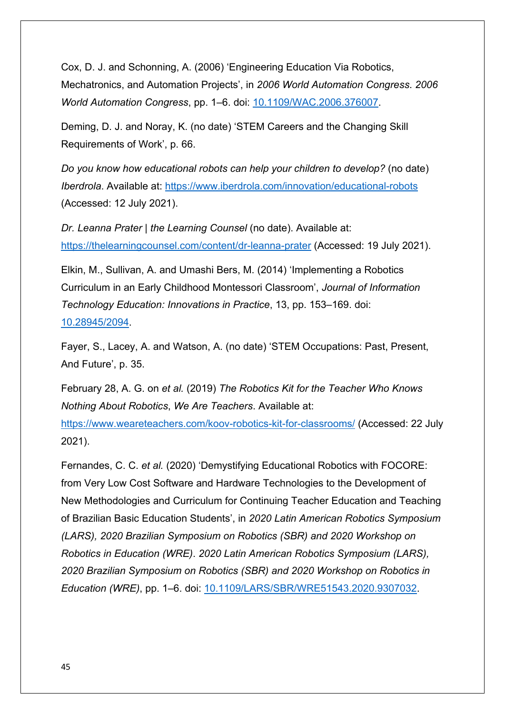Cox, D. J. and Schonning, A. (2006) 'Engineering Education Via Robotics, Mechatronics, and Automation Projects', in *2006 World Automation Congress*. *2006 World Automation Congress*, pp. 1–6. doi: [10.1109/WAC.2006.376007.](https://doi.org/10.1109/WAC.2006.376007)

Deming, D. J. and Noray, K. (no date) 'STEM Careers and the Changing Skill Requirements of Work', p. 66.

*Do you know how educational robots can help your children to develop?* (no date) *Iberdrola*. Available at:<https://www.iberdrola.com/innovation/educational-robots> (Accessed: 12 July 2021).

*Dr. Leanna Prater | the Learning Counsel* (no date). Available at: <https://thelearningcounsel.com/content/dr-leanna-prater> (Accessed: 19 July 2021).

Elkin, M., Sullivan, A. and Umashi Bers, M. (2014) 'Implementing a Robotics Curriculum in an Early Childhood Montessori Classroom', *Journal of Information Technology Education: Innovations in Practice*, 13, pp. 153–169. doi: [10.28945/2094.](https://doi.org/10.28945/2094)

Fayer, S., Lacey, A. and Watson, A. (no date) 'STEM Occupations: Past, Present, And Future', p. 35.

February 28, A. G. on *et al.* (2019) *The Robotics Kit for the Teacher Who Knows Nothing About Robotics*, *We Are Teachers*. Available at:

<https://www.weareteachers.com/koov-robotics-kit-for-classrooms/> (Accessed: 22 July 2021).

Fernandes, C. C. *et al.* (2020) 'Demystifying Educational Robotics with FOCORE: from Very Low Cost Software and Hardware Technologies to the Development of New Methodologies and Curriculum for Continuing Teacher Education and Teaching of Brazilian Basic Education Students', in *2020 Latin American Robotics Symposium (LARS), 2020 Brazilian Symposium on Robotics (SBR) and 2020 Workshop on Robotics in Education (WRE)*. *2020 Latin American Robotics Symposium (LARS), 2020 Brazilian Symposium on Robotics (SBR) and 2020 Workshop on Robotics in Education (WRE)*, pp. 1–6. doi: [10.1109/LARS/SBR/WRE51543.2020.9307032.](https://doi.org/10.1109/LARS/SBR/WRE51543.2020.9307032)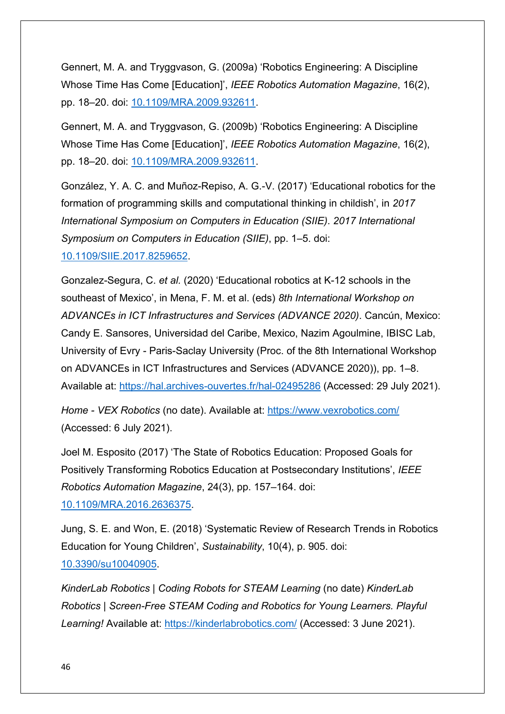Gennert, M. A. and Tryggvason, G. (2009a) 'Robotics Engineering: A Discipline Whose Time Has Come [Education]', *IEEE Robotics Automation Magazine*, 16(2), pp. 18–20. doi: [10.1109/MRA.2009.932611.](https://doi.org/10.1109/MRA.2009.932611)

Gennert, M. A. and Tryggvason, G. (2009b) 'Robotics Engineering: A Discipline Whose Time Has Come [Education]', *IEEE Robotics Automation Magazine*, 16(2), pp. 18–20. doi: [10.1109/MRA.2009.932611.](https://doi.org/10.1109/MRA.2009.932611)

González, Y. A. C. and Muñoz-Repiso, A. G.-V. (2017) 'Educational robotics for the formation of programming skills and computational thinking in childish', in *2017 International Symposium on Computers in Education (SIIE)*. *2017 International Symposium on Computers in Education (SIIE)*, pp. 1–5. doi: [10.1109/SIIE.2017.8259652.](https://doi.org/10.1109/SIIE.2017.8259652)

Gonzalez-Segura, C. *et al.* (2020) 'Educational robotics at K-12 schools in the southeast of Mexico', in Mena, F. M. et al. (eds) *8th International Workshop on ADVANCEs in ICT Infrastructures and Services (ADVANCE 2020)*. Cancún, Mexico: Candy E. Sansores, Universidad del Caribe, Mexico, Nazim Agoulmine, IBISC Lab, University of Evry - Paris-Saclay University (Proc. of the 8th International Workshop on ADVANCEs in ICT Infrastructures and Services (ADVANCE 2020)), pp. 1–8. Available at:<https://hal.archives-ouvertes.fr/hal-02495286> (Accessed: 29 July 2021).

*Home - VEX Robotics* (no date). Available at:<https://www.vexrobotics.com/> (Accessed: 6 July 2021).

Joel M. Esposito (2017) 'The State of Robotics Education: Proposed Goals for Positively Transforming Robotics Education at Postsecondary Institutions', *IEEE Robotics Automation Magazine*, 24(3), pp. 157–164. doi: [10.1109/MRA.2016.2636375.](https://doi.org/10.1109/MRA.2016.2636375)

Jung, S. E. and Won, E. (2018) 'Systematic Review of Research Trends in Robotics Education for Young Children', *Sustainability*, 10(4), p. 905. doi: [10.3390/su10040905.](https://doi.org/10.3390/su10040905)

*KinderLab Robotics | Coding Robots for STEAM Learning* (no date) *KinderLab Robotics | Screen-Free STEAM Coding and Robotics for Young Learners. Playful Learning!* Available at:<https://kinderlabrobotics.com/> (Accessed: 3 June 2021).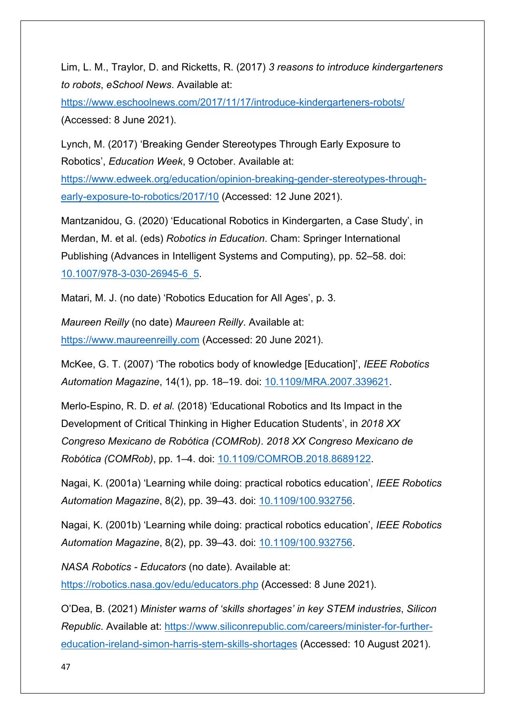Lim, L. M., Traylor, D. and Ricketts, R. (2017) *3 reasons to introduce kindergarteners to robots*, *eSchool News*. Available at:

<https://www.eschoolnews.com/2017/11/17/introduce-kindergarteners-robots/> (Accessed: 8 June 2021).

Lynch, M. (2017) 'Breaking Gender Stereotypes Through Early Exposure to Robotics', *Education Week*, 9 October. Available at:

[https://www.edweek.org/education/opinion-breaking-gender-stereotypes-through](https://www.edweek.org/education/opinion-breaking-gender-stereotypes-through-early-exposure-to-robotics/2017/10)[early-exposure-to-robotics/2017/10](https://www.edweek.org/education/opinion-breaking-gender-stereotypes-through-early-exposure-to-robotics/2017/10) (Accessed: 12 June 2021).

Mantzanidou, G. (2020) 'Educational Robotics in Kindergarten, a Case Study', in Merdan, M. et al. (eds) *Robotics in Education*. Cham: Springer International Publishing (Advances in Intelligent Systems and Computing), pp. 52–58. doi: [10.1007/978-3-030-26945-6\\_5.](https://doi.org/10.1007/978-3-030-26945-6_5)

Matari, M. J. (no date) 'Robotics Education for All Ages', p. 3.

*Maureen Reilly* (no date) *Maureen Reilly*. Available at: [https://www.maureenreilly.com](https://www.maureenreilly.com/) (Accessed: 20 June 2021).

McKee, G. T. (2007) 'The robotics body of knowledge [Education]', *IEEE Robotics Automation Magazine*, 14(1), pp. 18–19. doi: [10.1109/MRA.2007.339621.](https://doi.org/10.1109/MRA.2007.339621)

Merlo-Espino, R. D. *et al.* (2018) 'Educational Robotics and Its Impact in the Development of Critical Thinking in Higher Education Students', in *2018 XX Congreso Mexicano de Robótica (COMRob)*. *2018 XX Congreso Mexicano de Robótica (COMRob)*, pp. 1–4. doi: [10.1109/COMROB.2018.8689122.](https://doi.org/10.1109/COMROB.2018.8689122)

Nagai, K. (2001a) 'Learning while doing: practical robotics education', *IEEE Robotics Automation Magazine*, 8(2), pp. 39–43. doi: [10.1109/100.932756.](https://doi.org/10.1109/100.932756)

Nagai, K. (2001b) 'Learning while doing: practical robotics education', *IEEE Robotics Automation Magazine*, 8(2), pp. 39–43. doi: [10.1109/100.932756.](https://doi.org/10.1109/100.932756)

*NASA Robotics - Educators* (no date). Available at: <https://robotics.nasa.gov/edu/educators.php> (Accessed: 8 June 2021).

O'Dea, B. (2021) *Minister warns of 'skills shortages' in key STEM industries*, *Silicon Republic*. Available at: [https://www.siliconrepublic.com/careers/minister-for-further](https://www.siliconrepublic.com/careers/minister-for-further-education-ireland-simon-harris-stem-skills-shortages)[education-ireland-simon-harris-stem-skills-shortages](https://www.siliconrepublic.com/careers/minister-for-further-education-ireland-simon-harris-stem-skills-shortages) (Accessed: 10 August 2021).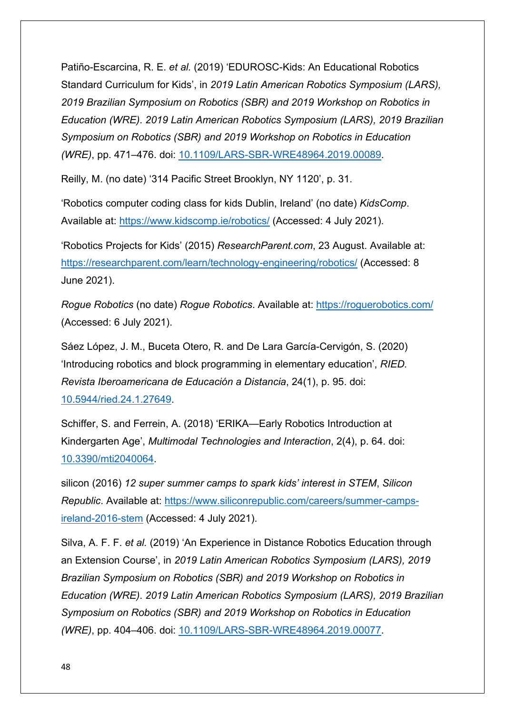Patiño-Escarcina, R. E. *et al.* (2019) 'EDUROSC-Kids: An Educational Robotics Standard Curriculum for Kids', in *2019 Latin American Robotics Symposium (LARS), 2019 Brazilian Symposium on Robotics (SBR) and 2019 Workshop on Robotics in Education (WRE)*. *2019 Latin American Robotics Symposium (LARS), 2019 Brazilian Symposium on Robotics (SBR) and 2019 Workshop on Robotics in Education (WRE)*, pp. 471–476. doi: [10.1109/LARS-SBR-WRE48964.2019.00089.](https://doi.org/10.1109/LARS-SBR-WRE48964.2019.00089)

Reilly, M. (no date) '314 Pacific Street Brooklyn, NY 1120', p. 31.

'Robotics computer coding class for kids Dublin, Ireland' (no date) *KidsComp*. Available at:<https://www.kidscomp.ie/robotics/> (Accessed: 4 July 2021).

'Robotics Projects for Kids' (2015) *ResearchParent.com*, 23 August. Available at: <https://researchparent.com/learn/technology-engineering/robotics/> (Accessed: 8 June 2021).

*Rogue Robotics* (no date) *Rogue Robotics*. Available at:<https://roguerobotics.com/> (Accessed: 6 July 2021).

Sáez López, J. M., Buceta Otero, R. and De Lara García-Cervigón, S. (2020) 'Introducing robotics and block programming in elementary education', *RIED. Revista Iberoamericana de Educación a Distancia*, 24(1), p. 95. doi: [10.5944/ried.24.1.27649.](https://doi.org/10.5944/ried.24.1.27649)

Schiffer, S. and Ferrein, A. (2018) 'ERIKA—Early Robotics Introduction at Kindergarten Age', *Multimodal Technologies and Interaction*, 2(4), p. 64. doi: [10.3390/mti2040064.](https://doi.org/10.3390/mti2040064)

silicon (2016) *12 super summer camps to spark kids' interest in STEM*, *Silicon Republic*. Available at: [https://www.siliconrepublic.com/careers/summer-camps](https://www.siliconrepublic.com/careers/summer-camps-ireland-2016-stem)[ireland-2016-stem](https://www.siliconrepublic.com/careers/summer-camps-ireland-2016-stem) (Accessed: 4 July 2021).

Silva, A. F. F. *et al.* (2019) 'An Experience in Distance Robotics Education through an Extension Course', in *2019 Latin American Robotics Symposium (LARS), 2019 Brazilian Symposium on Robotics (SBR) and 2019 Workshop on Robotics in Education (WRE)*. *2019 Latin American Robotics Symposium (LARS), 2019 Brazilian Symposium on Robotics (SBR) and 2019 Workshop on Robotics in Education (WRE)*, pp. 404–406. doi: [10.1109/LARS-SBR-WRE48964.2019.00077.](https://doi.org/10.1109/LARS-SBR-WRE48964.2019.00077)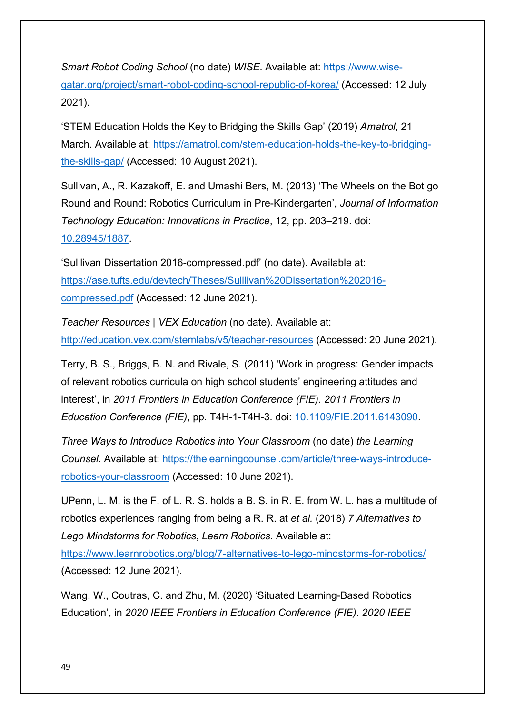*Smart Robot Coding School* (no date) *WISE*. Available at: [https://www.wise](https://www.wise-qatar.org/project/smart-robot-coding-school-republic-of-korea/)[qatar.org/project/smart-robot-coding-school-republic-of-korea/](https://www.wise-qatar.org/project/smart-robot-coding-school-republic-of-korea/) (Accessed: 12 July 2021).

'STEM Education Holds the Key to Bridging the Skills Gap' (2019) *Amatrol*, 21 March. Available at: [https://amatrol.com/stem-education-holds-the-key-to-bridging](https://amatrol.com/stem-education-holds-the-key-to-bridging-the-skills-gap/)[the-skills-gap/](https://amatrol.com/stem-education-holds-the-key-to-bridging-the-skills-gap/) (Accessed: 10 August 2021).

Sullivan, A., R. Kazakoff, E. and Umashi Bers, M. (2013) 'The Wheels on the Bot go Round and Round: Robotics Curriculum in Pre-Kindergarten', *Journal of Information Technology Education: Innovations in Practice*, 12, pp. 203–219. doi: [10.28945/1887.](https://doi.org/10.28945/1887)

'Sulllivan Dissertation 2016-compressed.pdf' (no date). Available at: [https://ase.tufts.edu/devtech/Theses/Sulllivan%20Dissertation%202016](https://ase.tufts.edu/devtech/Theses/Sulllivan%20Dissertation%202016-compressed.pdf) [compressed.pdf](https://ase.tufts.edu/devtech/Theses/Sulllivan%20Dissertation%202016-compressed.pdf) (Accessed: 12 June 2021).

*Teacher Resources | VEX Education* (no date). Available at: <http://education.vex.com/stemlabs/v5/teacher-resources> (Accessed: 20 June 2021).

Terry, B. S., Briggs, B. N. and Rivale, S. (2011) 'Work in progress: Gender impacts of relevant robotics curricula on high school students' engineering attitudes and interest', in *2011 Frontiers in Education Conference (FIE)*. *2011 Frontiers in Education Conference (FIE)*, pp. T4H-1-T4H-3. doi: [10.1109/FIE.2011.6143090.](https://doi.org/10.1109/FIE.2011.6143090)

*Three Ways to Introduce Robotics into Your Classroom* (no date) *the Learning Counsel*. Available at: [https://thelearningcounsel.com/article/three-ways-introduce](https://thelearningcounsel.com/article/three-ways-introduce-robotics-your-classroom)[robotics-your-classroom](https://thelearningcounsel.com/article/three-ways-introduce-robotics-your-classroom) (Accessed: 10 June 2021).

UPenn, L. M. is the F. of L. R. S. holds a B. S. in R. E. from W. L. has a multitude of robotics experiences ranging from being a R. R. at *et al.* (2018) *7 Alternatives to Lego Mindstorms for Robotics*, *Learn Robotics*. Available at:

<https://www.learnrobotics.org/blog/7-alternatives-to-lego-mindstorms-for-robotics/> (Accessed: 12 June 2021).

Wang, W., Coutras, C. and Zhu, M. (2020) 'Situated Learning-Based Robotics Education', in *2020 IEEE Frontiers in Education Conference (FIE)*. *2020 IEEE*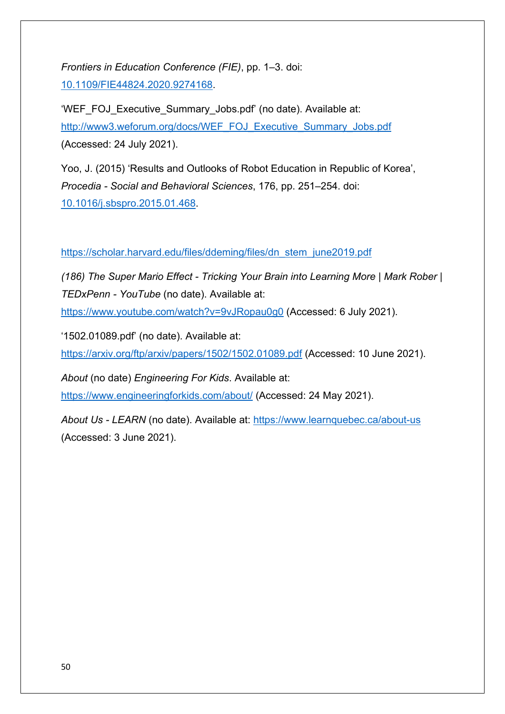*Frontiers in Education Conference (FIE)*, pp. 1–3. doi: [10.1109/FIE44824.2020.9274168.](https://doi.org/10.1109/FIE44824.2020.9274168)

'WEF\_FOJ\_Executive\_Summary\_Jobs.pdf' (no date). Available at: [http://www3.weforum.org/docs/WEF\\_FOJ\\_Executive\\_Summary\\_Jobs.pdf](http://www3.weforum.org/docs/WEF_FOJ_Executive_Summary_Jobs.pdf) (Accessed: 24 July 2021).

Yoo, J. (2015) 'Results and Outlooks of Robot Education in Republic of Korea', *Procedia - Social and Behavioral Sciences*, 176, pp. 251–254. doi: [10.1016/j.sbspro.2015.01.468.](https://doi.org/10.1016/j.sbspro.2015.01.468)

[https://scholar.harvard.edu/files/ddeming/files/dn\\_stem\\_june2019.pdf](https://scholar.harvard.edu/files/ddeming/files/dn_stem_june2019.pdf)

*(186) The Super Mario Effect - Tricking Your Brain into Learning More | Mark Rober | TEDxPenn - YouTube* (no date). Available at:

<https://www.youtube.com/watch?v=9vJRopau0g0> (Accessed: 6 July 2021).

'1502.01089.pdf' (no date). Available at:

<https://arxiv.org/ftp/arxiv/papers/1502/1502.01089.pdf> (Accessed: 10 June 2021).

*About* (no date) *Engineering For Kids*. Available at:

<https://www.engineeringforkids.com/about/> (Accessed: 24 May 2021).

*About Us - LEARN* (no date). Available at:<https://www.learnquebec.ca/about-us> (Accessed: 3 June 2021).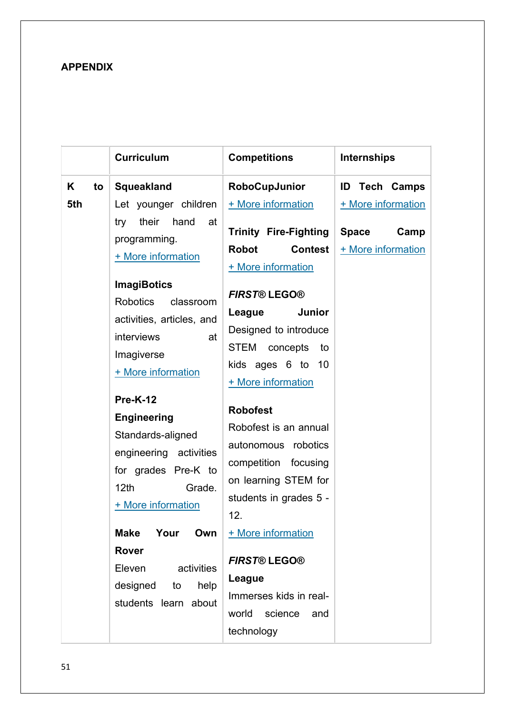# **APPENDIX**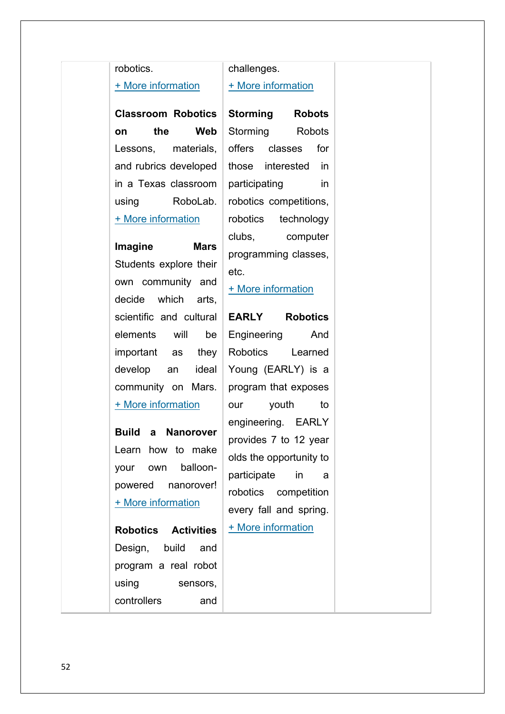#### robotics.

#### [+ More information](http://robotics.nasa.gov/edu/lessons/rover.htm)

**Classroom Robotics on the Web** Lessons, materials, and rubrics developed in a Texas classroom using RoboLab. [+ More information](http://www.crowesweb.com/roboticshomepage.htm)

# **Imagine Mars** Students explore their own community and decide which arts, scientific and cultural elements will be important as they develop an ideal community on Mars. [+ More information](http://imaginemars.jpl.nasa.gov/)

**Build a Nanorover** Learn how to make your own balloonpowered nanorover! [+ More information](http://spaceplace.nasa.gov/nanorover/en/)

**Robotics Activities** Design, build and program a real robot using sensors, controllers and

## challenges.

#### [+ More information](http://www.firstinspires.org/robotics/fll)

**Storming Robots** Storming Robots offers classes for those interested in participating in robotics competitions, robotics technology clubs, computer programming classes, etc.

[+ More information](http://www.storming-robots.com/prod/default.html)

**EARLY Robotics** Engineering And Robotics Learned Young (EARLY) is a program that exposes our youth to engineering. EARLY provides 7 to 12 year olds the opportunity to participate in a robotics competition every fall and spring. [+ More information](http://www.earlyrobotics.org/)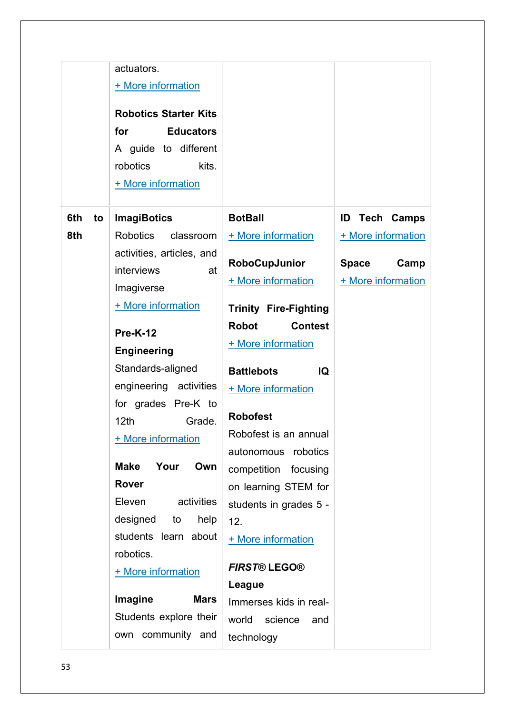|           | actuators.<br>+ More information<br><b>Robotics Starter Kits</b><br>for<br><b>Educators</b><br>A guide to different<br>robotics<br>kits.<br>+ More information                                                                                                                                  |                                                                                                                                                                                                                                                                                   |                                            |
|-----------|-------------------------------------------------------------------------------------------------------------------------------------------------------------------------------------------------------------------------------------------------------------------------------------------------|-----------------------------------------------------------------------------------------------------------------------------------------------------------------------------------------------------------------------------------------------------------------------------------|--------------------------------------------|
| 6th<br>to | <b>ImagiBotics</b>                                                                                                                                                                                                                                                                              | <b>BotBall</b>                                                                                                                                                                                                                                                                    | ID<br><b>Tech Camps</b>                    |
| 8th       | <b>Robotics</b><br>classroom                                                                                                                                                                                                                                                                    | + More information                                                                                                                                                                                                                                                                | + More information                         |
|           | activities, articles, and<br>interviews<br>at<br>Imagiverse<br>+ More information                                                                                                                                                                                                               | RoboCupJunior<br>+ More information<br><b>Trinity Fire-Fighting</b>                                                                                                                                                                                                               | <b>Space</b><br>Camp<br>+ More information |
|           |                                                                                                                                                                                                                                                                                                 | <b>Robot</b><br><b>Contest</b>                                                                                                                                                                                                                                                    |                                            |
|           | <b>Pre-K-12</b><br><b>Engineering</b>                                                                                                                                                                                                                                                           | + More information                                                                                                                                                                                                                                                                |                                            |
|           | Standards-aligned<br>engineering activities<br>for grades Pre-K to<br>12th<br>Grade.<br>+ More information<br>Own<br><b>Make</b><br>Your<br><b>Rover</b><br>activities<br>Eleven<br>designed<br>help<br>to<br>students learn about<br>robotics.<br>+ More information<br>Imagine<br><b>Mars</b> | <b>Battlebots</b><br>IQ<br>+ More information<br><b>Robofest</b><br>Robofest is an annual<br>autonomous robotics<br>competition focusing<br>on learning STEM for<br>students in grades 5 -<br>12.<br>+ More information<br><b>FIRST®LEGO®</b><br>League<br>Immerses kids in real- |                                            |
|           | Students explore their<br>own community and                                                                                                                                                                                                                                                     | world<br>science<br>and<br>technology                                                                                                                                                                                                                                             |                                            |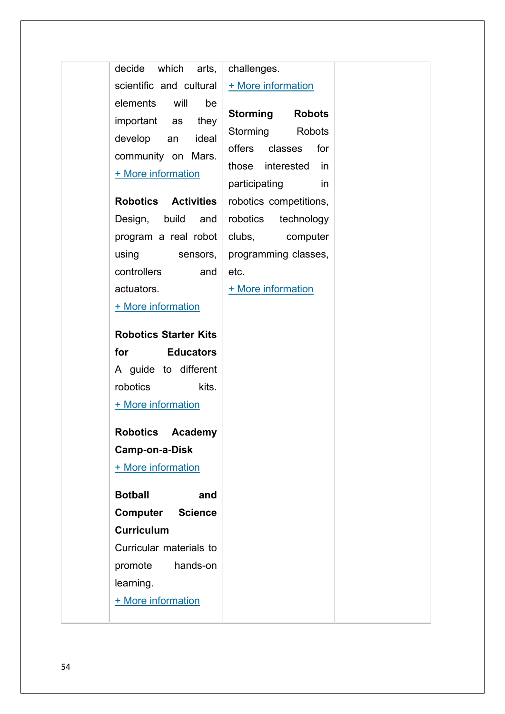| decide which arts,                                                                                                                   | challenges.                                  |
|--------------------------------------------------------------------------------------------------------------------------------------|----------------------------------------------|
| scientific and cultural                                                                                                              | + More information                           |
| will<br>elements<br>be<br>important as<br>they                                                                                       | <b>Storming</b><br><b>Robots</b>             |
| develop<br>ideal<br>an                                                                                                               | Storming<br>Robots                           |
| community on Mars.                                                                                                                   | offers<br>classes<br>for                     |
| + More information                                                                                                                   | those interested<br>$\overline{\mathsf{in}}$ |
|                                                                                                                                      | participating<br>in                          |
| <b>Robotics Activities</b>                                                                                                           | robotics competitions,                       |
| Design, build<br>and                                                                                                                 | robotics<br>technology                       |
| program a real robot                                                                                                                 | clubs, computer                              |
| using<br>sensors,                                                                                                                    | programming classes,                         |
| controllers<br>and                                                                                                                   | etc.                                         |
| actuators.                                                                                                                           | + More information                           |
| + More information                                                                                                                   |                                              |
| <b>Robotics Starter Kits</b>                                                                                                         |                                              |
| for the set of the set of the set of the set of the set of the set of the set of the set of the set of the set o<br><b>Educators</b> |                                              |
| A guide to different                                                                                                                 |                                              |
| robotics<br>kits.                                                                                                                    |                                              |
| + More information                                                                                                                   |                                              |
| Robotics Academy                                                                                                                     |                                              |
| Camp-on-a-Disk                                                                                                                       |                                              |
| + More information                                                                                                                   |                                              |
| <b>Botball</b><br>and                                                                                                                |                                              |
| Computer<br><b>Science</b>                                                                                                           |                                              |
| <b>Curriculum</b>                                                                                                                    |                                              |
| Curricular materials to                                                                                                              |                                              |
| promote<br>hands-on                                                                                                                  |                                              |
| learning.                                                                                                                            |                                              |
| + More information                                                                                                                   |                                              |
|                                                                                                                                      |                                              |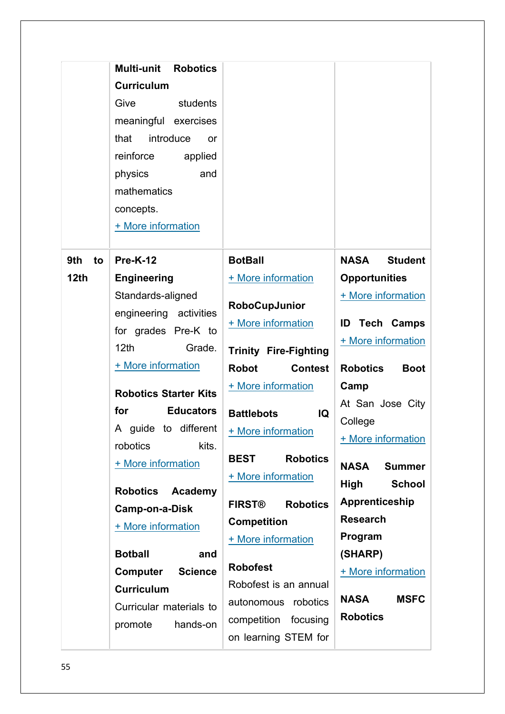|                  | Multi-unit<br><b>Robotics</b><br><b>Curriculum</b><br>Give<br>students<br>meaningful exercises<br>introduce<br>that<br>or<br>reinforce<br>applied<br>physics<br>and<br>mathematics<br>concepts.<br>+ More information                                                                                                                 |                                                                                                                                                                                                                                                                                                           |                                                                                                                                                                                                                                                      |
|------------------|---------------------------------------------------------------------------------------------------------------------------------------------------------------------------------------------------------------------------------------------------------------------------------------------------------------------------------------|-----------------------------------------------------------------------------------------------------------------------------------------------------------------------------------------------------------------------------------------------------------------------------------------------------------|------------------------------------------------------------------------------------------------------------------------------------------------------------------------------------------------------------------------------------------------------|
| 9th<br>to        | <b>Pre-K-12</b>                                                                                                                                                                                                                                                                                                                       | <b>BotBall</b>                                                                                                                                                                                                                                                                                            | <b>Student</b><br>NASA                                                                                                                                                                                                                               |
| 12 <sub>th</sub> | <b>Engineering</b>                                                                                                                                                                                                                                                                                                                    | + More information                                                                                                                                                                                                                                                                                        | <b>Opportunities</b>                                                                                                                                                                                                                                 |
|                  | Standards-aligned<br>engineering activities<br>for grades Pre-K to<br>12 <sub>th</sub><br>Grade.<br>+ More information                                                                                                                                                                                                                | RoboCupJunior<br>+ More information<br><b>Trinity Fire-Fighting</b>                                                                                                                                                                                                                                       | + More information<br><b>ID Tech Camps</b><br>+ More information                                                                                                                                                                                     |
|                  |                                                                                                                                                                                                                                                                                                                                       | <b>Robot</b><br><b>Contest</b>                                                                                                                                                                                                                                                                            | <b>Robotics</b><br><b>Boot</b>                                                                                                                                                                                                                       |
|                  | <b>Robotics Starter Kits</b><br>for<br><b>Educators</b><br>A guide to different<br>robotics<br>kits.<br>+ More information<br><b>Robotics</b><br>Academy<br><b>Camp-on-a-Disk</b><br>+ More information<br><b>Botball</b><br>and<br>Computer<br><b>Science</b><br><b>Curriculum</b><br>Curricular materials to<br>promote<br>hands-on | + More information<br><b>Battlebots</b><br>IQ<br>+ More information<br><b>Robotics</b><br><b>BEST</b><br>+ More information<br><b>FIRST®</b><br><b>Robotics</b><br><b>Competition</b><br>+ More information<br><b>Robofest</b><br>Robofest is an annual<br>autonomous robotics<br>competition<br>focusing | Camp<br>At San Jose City<br>College<br>+ More information<br><b>Summer</b><br><b>NASA</b><br>High<br><b>School</b><br>Apprenticeship<br><b>Research</b><br>Program<br>(SHARP)<br>+ More information<br><b>NASA</b><br><b>MSFC</b><br><b>Robotics</b> |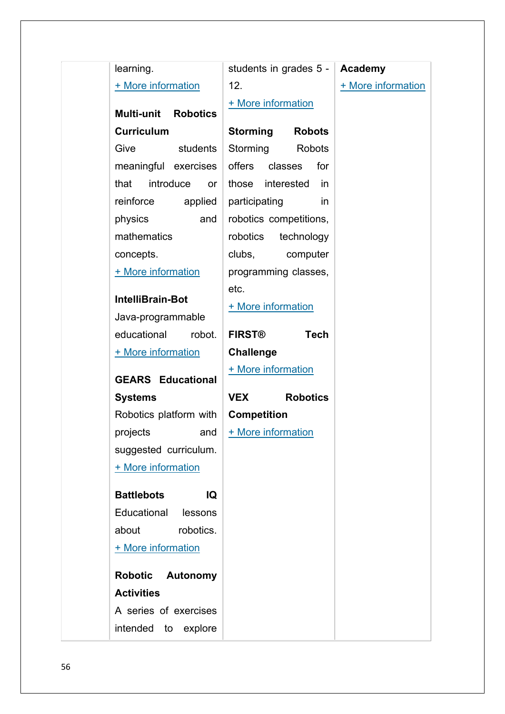| learning.                                                 |         | students in grades 5 - |                 | Academy            |
|-----------------------------------------------------------|---------|------------------------|-----------------|--------------------|
| + More information                                        |         | 12.                    |                 | + More information |
|                                                           |         | + More information     |                 |                    |
| <b>Multi-unit</b><br><b>Robotics</b><br><b>Curriculum</b> |         |                        |                 |                    |
|                                                           |         | Storming               | <b>Robots</b>   |                    |
| Give<br>students                                          |         | Storming               | Robots          |                    |
| meaningful exercises                                      |         | offers classes         | for             |                    |
| introduce<br>that                                         | or      | those interested       | in              |                    |
| reinforce                                                 | applied | participating          | in.             |                    |
| physics                                                   | and     | robotics competitions, |                 |                    |
| mathematics                                               |         | robotics technology    |                 |                    |
| concepts.                                                 |         | clubs,                 | computer        |                    |
| + More information                                        |         | programming classes,   |                 |                    |
| <b>IntelliBrain-Bot</b>                                   |         | etc.                   |                 |                    |
| Java-programmable                                         |         | + More information     |                 |                    |
| educational                                               | robot.  | <b>FIRST®</b>          | <b>Tech</b>     |                    |
| + More information                                        |         | <b>Challenge</b>       |                 |                    |
|                                                           |         | + More information     |                 |                    |
| <b>GEARS Educational</b>                                  |         |                        |                 |                    |
| <b>Systems</b>                                            |         | <b>VEX</b>             | <b>Robotics</b> |                    |
| Robotics platform with                                    |         | <b>Competition</b>     |                 |                    |
| projects                                                  | and     | + More information     |                 |                    |
| suggested curriculum.                                     |         |                        |                 |                    |
| + More information                                        |         |                        |                 |                    |
| <b>Battlebots</b>                                         | IQ      |                        |                 |                    |
| Educational                                               | lessons |                        |                 |                    |
| robotics.<br>about                                        |         |                        |                 |                    |
| + More information                                        |         |                        |                 |                    |
|                                                           |         |                        |                 |                    |
| <b>Robotic</b><br><b>Autonomy</b>                         |         |                        |                 |                    |
| <b>Activities</b>                                         |         |                        |                 |                    |
| A series of exercises                                     |         |                        |                 |                    |
| intended to explore                                       |         |                        |                 |                    |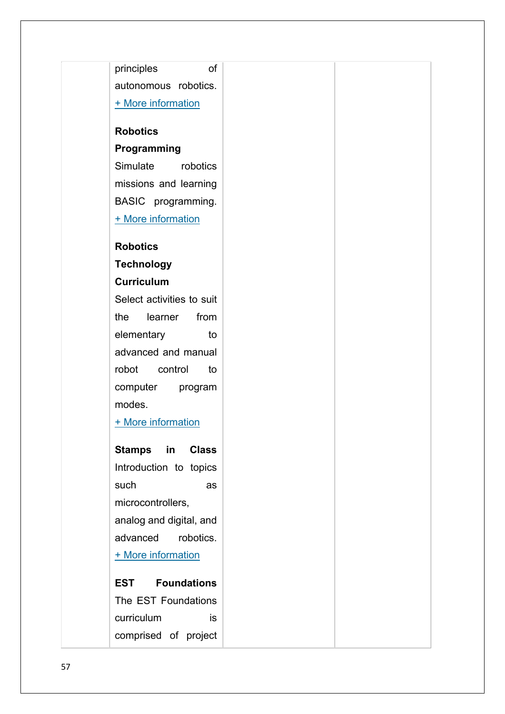principles of autonomous robotics. [+ More information](http://robotics.nasa.gov/edu/lessons/autonomy.htm) **Robotics Programming** Simulate robotics missions and learning BASIC programming. [+ More information](http://www.edurobot.com/r_curric.html) **Robotics Technology Curriculum** Select activities to suit the learner from elementary to advanced and manual robot control to computer program modes. [+ More information](http://electronickits.com/robot/rtc007.htm) **Stamps in Class** Introduction to topics such as microcontrollers, analog and digital, and advanced robotics. [+ More information](http://www.stampsinclass.com/html_files/sic_curr/curriculum_overview.htm) **EST Foundations** The EST Foundations curriculum is comprised of project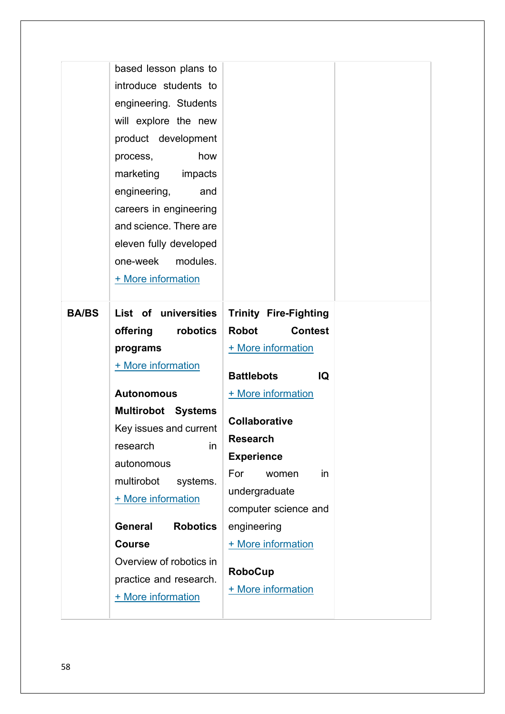|              | based lesson plans to             |                                |
|--------------|-----------------------------------|--------------------------------|
|              | introduce students to             |                                |
|              | engineering. Students             |                                |
|              | will explore the new              |                                |
|              | product development               |                                |
|              | how<br>process,                   |                                |
|              | marketing impacts                 |                                |
|              | engineering,<br>and               |                                |
|              | careers in engineering            |                                |
|              | and science. There are            |                                |
|              | eleven fully developed            |                                |
|              | modules.<br>one-week              |                                |
|              | + More information                |                                |
|              |                                   |                                |
| <b>BA/BS</b> | List of universities              | <b>Trinity Fire-Fighting</b>   |
|              | offering<br>robotics              | <b>Robot</b><br><b>Contest</b> |
| programs     |                                   | + More information             |
|              | + More information                |                                |
|              |                                   | <b>Battlebots</b><br>IQ        |
|              | <b>Autonomous</b>                 | + More information             |
|              | <b>Multirobot Systems</b>         |                                |
|              | Key issues and current            | <b>Collaborative</b>           |
|              | research<br>in                    | <b>Research</b>                |
|              | autonomous                        | <b>Experience</b>              |
|              | multirobot<br>systems.            | For<br>in<br>women             |
|              | + More information                | undergraduate                  |
|              |                                   | computer science and           |
|              | <b>General</b><br><b>Robotics</b> | engineering                    |
|              | <b>Course</b>                     | + More information             |
|              | Overview of robotics in           | <b>RoboCup</b>                 |
|              | practice and research.            | + More information             |
|              | + More information                |                                |